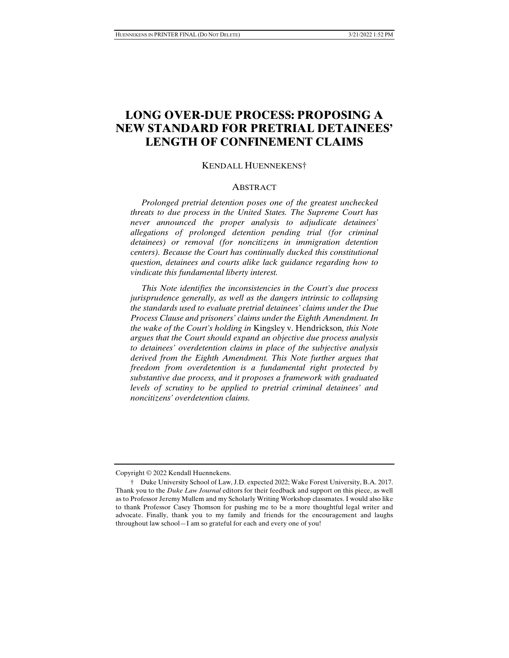# **LONG OVER-DUE PROCESS: PROPOSING A NEW STANDARD FOR PRETRIAL DETAINEES' LENGTH OF CONFINEMENT CLAIMS**

#### KENDALL HUENNEKENS†

#### **ABSTRACT**

 *Prolonged pretrial detention poses one of the greatest unchecked threats to due process in the United States. The Supreme Court has never announced the proper analysis to adjudicate detainees' allegations of prolonged detention pending trial (for criminal detainees) or removal (for noncitizens in immigration detention centers). Because the Court has continually ducked this constitutional question, detainees and courts alike lack guidance regarding how to vindicate this fundamental liberty interest.* 

 *This Note identifies the inconsistencies in the Court's due process jurisprudence generally, as well as the dangers intrinsic to collapsing the standards used to evaluate pretrial detainees' claims under the Due Process Clause and prisoners' claims under the Eighth Amendment. In the wake of the Court's holding in* Kingsley v. Hendrickson*, this Note argues that the Court should expand an objective due process analysis to detainees' overdetention claims in place of the subjective analysis derived from the Eighth Amendment. This Note further argues that freedom from overdetention is a fundamental right protected by substantive due process, and it proposes a framework with graduated levels of scrutiny to be applied to pretrial criminal detainees' and noncitizens' overdetention claims.* 

Copyright © 2022 Kendall Huennekens.

 <sup>†</sup> Duke University School of Law, J.D. expected 2022; Wake Forest University, B.A. 2017. Thank you to the *Duke Law Journal* editors for their feedback and support on this piece, as well as to Professor Jeremy Mullem and my Scholarly Writing Workshop classmates. I would also like to thank Professor Casey Thomson for pushing me to be a more thoughtful legal writer and advocate. Finally, thank you to my family and friends for the encouragement and laughs throughout law school—I am so grateful for each and every one of you!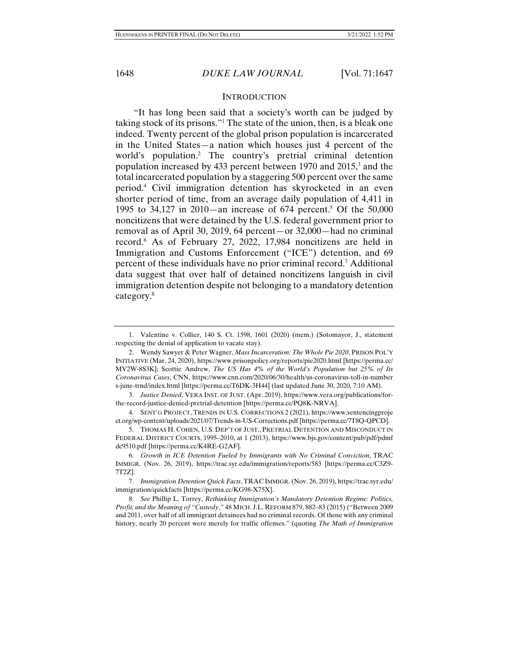#### **INTRODUCTION**

"It has long been said that a society's worth can be judged by taking stock of its prisons."1 The state of the union, then, is a bleak one indeed. Twenty percent of the global prison population is incarcerated in the United States—a nation which houses just 4 percent of the world's population.<sup>2</sup> The country's pretrial criminal detention population increased by 433 percent between 1970 and 2015,<sup>3</sup> and the total incarcerated population by a staggering 500 percent over the same period.4 Civil immigration detention has skyrocketed in an even shorter period of time, from an average daily population of 4,411 in 1995 to 34,127 in 2010—an increase of  $674$  percent.<sup>5</sup> Of the 50,000 noncitizens that were detained by the U.S. federal government prior to removal as of April 30, 2019, 64 percent—or 32,000—had no criminal record.6 As of February 27, 2022, 17,984 noncitizens are held in Immigration and Customs Enforcement ("ICE") detention, and 69 percent of these individuals have no prior criminal record.7 Additional data suggest that over half of detained noncitizens languish in civil immigration detention despite not belonging to a mandatory detention category.<sup>8</sup>

 <sup>1.</sup> Valentine v. Collier, 140 S. Ct. 1598, 1601 (2020) (mem.) (Sotomayor, J., statement respecting the denial of application to vacate stay).

 <sup>2.</sup> Wendy Sawyer & Peter Wagner, *Mass Incarceration: The Whole Pie 2020*, PRISON POL'Y INITIATIVE (Mar. 24, 2020), https://www.prisonpolicy.org/reports/pie2020.html [https://perma.cc/ MV2W-8S3K]; Scottie Andrew, *The US Has 4% of the World's Population but 25% of Its Coronavirus Cases*, CNN, https://www.cnn.com/2020/06/30/health/us-coronavirus-toll-in-number s-june-trnd/index.html [https://perma.cc/T6DK-3H44] (last updated June 30, 2020, 7:10 AM).

 <sup>3.</sup> *Justice Denied*, VERA INST. OF JUST. (Apr. 2019), https://www.vera.org/publications/forthe-record-justice-denied-pretrial-detention [https://perma.cc/PQ8K-NRVA].

 <sup>4.</sup> SENT'G PROJECT, TRENDS IN U.S. CORRECTIONS 2 (2021), https://www.sentencingproje ct.org/wp-content/uploads/2021/07/Trends-in-US-Corrections.pdf [https://perma.cc/7T8Q-QPCD].

 <sup>5.</sup> THOMAS H. COHEN, U.S. DEP'T OF JUST., PRETRIAL DETENTION AND MISCONDUCT IN FEDERAL DISTRICT COURTS, 1995–2010, at 1 (2013), https://www.bjs.gov/content/pub/pdf/pdmf dc9510.pdf [https://perma.cc/K4RE-G2AF].

 <sup>6.</sup> *Growth in ICE Detention Fueled by Immigrants with No Criminal Conviction*, TRAC IMMIGR. (Nov. 26, 2019), https://trac.syr.edu/immigration/reports/583 [https://perma.cc/C3Z9- 7T2Z].

<sup>7.</sup> *Immigration Detention Quick Facts*,TRAC IMMIGR. (Nov. 26, 2019), https://trac.syr.edu/ immigration/quickfacts [https://perma.cc/KG98-X75X].

 <sup>8.</sup> *See* Phillip L. Torrey, *Rethinking Immigration's Mandatory Detention Regime: Politics, Profit, and the Meaning of "Custody*,*"* 48 MICH. J.L. REFORM 879, 882–83 (2015) ("Between 2009 and 2011, over half of all immigrant detainees had no criminal records. Of those with any criminal history, nearly 20 percent were merely for traffic offenses." (quoting *The Math of Immigration*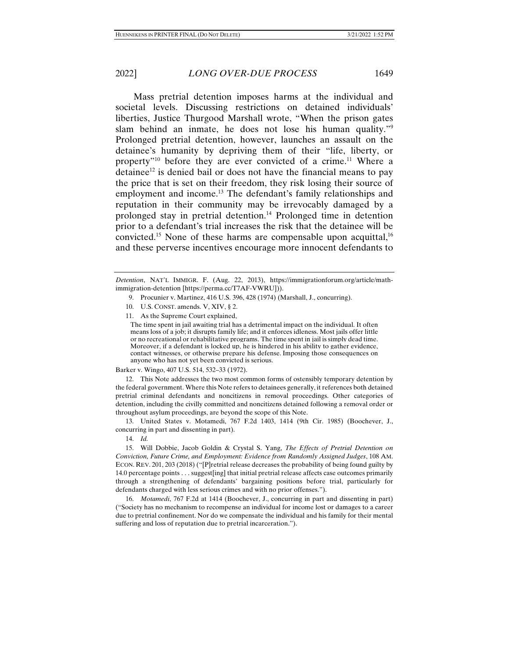Mass pretrial detention imposes harms at the individual and societal levels. Discussing restrictions on detained individuals' liberties, Justice Thurgood Marshall wrote, "When the prison gates slam behind an inmate, he does not lose his human quality."9 Prolonged pretrial detention, however, launches an assault on the detainee's humanity by depriving them of their "life, liberty, or property<sup> $n_{10}$ </sup> before they are ever convicted of a crime.<sup>11</sup> Where a detainee<sup>12</sup> is denied bail or does not have the financial means to pay the price that is set on their freedom, they risk losing their source of employment and income.<sup>13</sup> The defendant's family relationships and reputation in their community may be irrevocably damaged by a prolonged stay in pretrial detention.14 Prolonged time in detention prior to a defendant's trial increases the risk that the detainee will be convicted.<sup>15</sup> None of these harms are compensable upon acquittal,<sup>16</sup> and these perverse incentives encourage more innocent defendants to

- 9. Procunier v. Martinez, 416 U.S. 396, 428 (1974) (Marshall, J., concurring).
- 10. U.S. CONST. amends. V, XIV, § 2.

11. As the Supreme Court explained,

The time spent in jail awaiting trial has a detrimental impact on the individual. It often means loss of a job; it disrupts family life; and it enforces idleness. Most jails offer little or no recreational or rehabilitative programs. The time spent in jail is simply dead time. Moreover, if a defendant is locked up, he is hindered in his ability to gather evidence, contact witnesses, or otherwise prepare his defense. Imposing those consequences on anyone who has not yet been convicted is serious.

Barker v. Wingo, 407 U.S. 514, 532–33 (1972).

 12. This Note addresses the two most common forms of ostensibly temporary detention by the federal government. Where this Note refers to detainees generally, it references both detained pretrial criminal defendants and noncitizens in removal proceedings. Other categories of detention, including the civilly committed and noncitizens detained following a removal order or throughout asylum proceedings, are beyond the scope of this Note.

 13. United States v. Motamedi, 767 F.2d 1403, 1414 (9th Cir. 1985) (Boochever, J., concurring in part and dissenting in part).

14. *Id.* 

 15. Will Dobbie, Jacob Goldin & Crystal S. Yang, *The Effects of Pretrial Detention on Conviction, Future Crime, and Employment: Evidence from Randomly Assigned Judges*, 108 AM. ECON. REV. 201, 203 (2018) ("[P]retrial release decreases the probability of being found guilty by 14.0 percentage points . . . suggest[ing] that initial pretrial release affects case outcomes primarily through a strengthening of defendants' bargaining positions before trial, particularly for defendants charged with less serious crimes and with no prior offenses.").

 16. *Motamedi*, 767 F.2d at 1414 (Boochever, J., concurring in part and dissenting in part) ("Society has no mechanism to recompense an individual for income lost or damages to a career due to pretrial confinement. Nor do we compensate the individual and his family for their mental suffering and loss of reputation due to pretrial incarceration.").

*Detention*, NAT'L IMMIGR. F. (Aug. 22, 2013), https://immigrationforum.org/article/mathimmigration-detention [https://perma.cc/T7AF-VWRU])).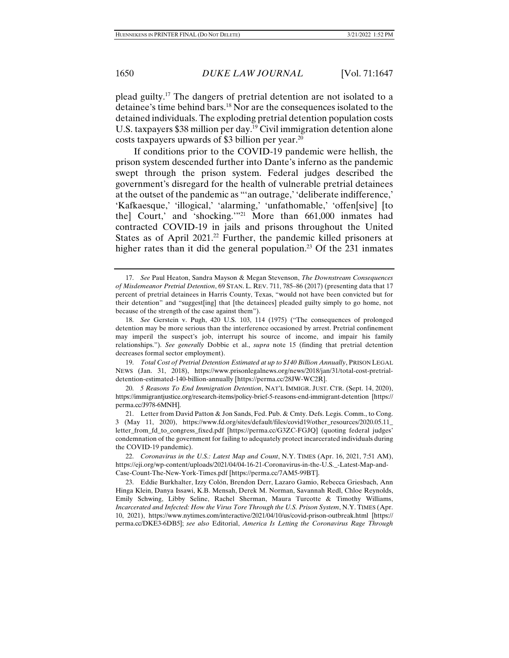plead guilty.17 The dangers of pretrial detention are not isolated to a detainee's time behind bars.18 Nor are the consequences isolated to the detained individuals. The exploding pretrial detention population costs U.S. taxpayers \$38 million per day.<sup>19</sup> Civil immigration detention alone costs taxpayers upwards of \$3 billion per year.20

If conditions prior to the COVID-19 pandemic were hellish, the prison system descended further into Dante's inferno as the pandemic swept through the prison system. Federal judges described the government's disregard for the health of vulnerable pretrial detainees at the outset of the pandemic as "'an outrage,' 'deliberate indifference,' 'Kafkaesque,' 'illogical,' 'alarming,' 'unfathomable,' 'offen[sive] [to the] Court,' and 'shocking.'"21 More than 661,000 inmates had contracted COVID-19 in jails and prisons throughout the United States as of April 2021.<sup>22</sup> Further, the pandemic killed prisoners at higher rates than it did the general population.<sup>23</sup> Of the 231 inmates

 19. *Total Cost of Pretrial Detention Estimated at up to \$140 Billion Annually*, PRISON LEGAL NEWS (Jan. 31, 2018), https://www.prisonlegalnews.org/news/2018/jan/31/total-cost-pretrialdetention-estimated-140-billion-annually [https://perma.cc/28JW-WC2R].

 20. *5 Reasons To End Immigration Detention*, NAT'L IMMIGR. JUST. CTR. (Sept. 14, 2020), https://immigrantjustice.org/research-items/policy-brief-5-reasons-end-immigrant-detention [https:// perma.cc/J978-6MNH].

 <sup>17.</sup> *See* Paul Heaton, Sandra Mayson & Megan Stevenson, *The Downstream Consequences of Misdemeanor Pretrial Detention*, 69 STAN. L. REV. 711, 785–86 (2017) (presenting data that 17 percent of pretrial detainees in Harris County, Texas, "would not have been convicted but for their detention" and "suggest[ing] that [the detainees] pleaded guilty simply to go home, not because of the strength of the case against them").

 <sup>18.</sup> *See* Gerstein v. Pugh, 420 U.S. 103, 114 (1975) ("The consequences of prolonged detention may be more serious than the interference occasioned by arrest. Pretrial confinement may imperil the suspect's job, interrupt his source of income, and impair his family relationships."). *See generally* Dobbie et al., *supra* note 15 (finding that pretrial detention decreases formal sector employment).

 <sup>21.</sup> Letter from David Patton & Jon Sands, Fed. Pub. & Cmty. Defs. Legis. Comm., to Cong. 3 (May 11, 2020), https://www.fd.org/sites/default/files/covid19/other\_resources/2020.05.11\_ letter\_from\_fd\_to\_congress\_fixed.pdf [https://perma.cc/G3ZC-FGJQ] (quoting federal judges' condemnation of the government for failing to adequately protect incarcerated individuals during the COVID-19 pandemic).

 <sup>22.</sup> *Coronavirus in the U.S.: Latest Map and Count*, N.Y. TIMES (Apr. 16, 2021, 7:51 AM), https://eji.org/wp-content/uploads/2021/04/04-16-21-Coronavirus-in-the-U.S.\_-Latest-Map-and-Case-Count-The-New-York-Times.pdf [https://perma.cc/7AM5-99BT].

 <sup>23.</sup> Eddie Burkhalter, Izzy Colón, Brendon Derr, Lazaro Gamio, Rebecca Griesbach, Ann Hinga Klein, Danya Issawi, K.B. Mensah, Derek M. Norman, Savannah Redl, Chloe Reynolds, Emily Schwing, Libby Seline, Rachel Sherman, Maura Turcotte & Timothy Williams, *Incarcerated and Infected: How the Virus Tore Through the U.S. Prison System*, N.Y. TIMES (Apr. 10, 2021), https://www.nytimes.com/interactive/2021/04/10/us/covid-prison-outbreak.html [https:// perma.cc/DKE3-6DB5]; *see also* Editorial, *America Is Letting the Coronavirus Rage Through*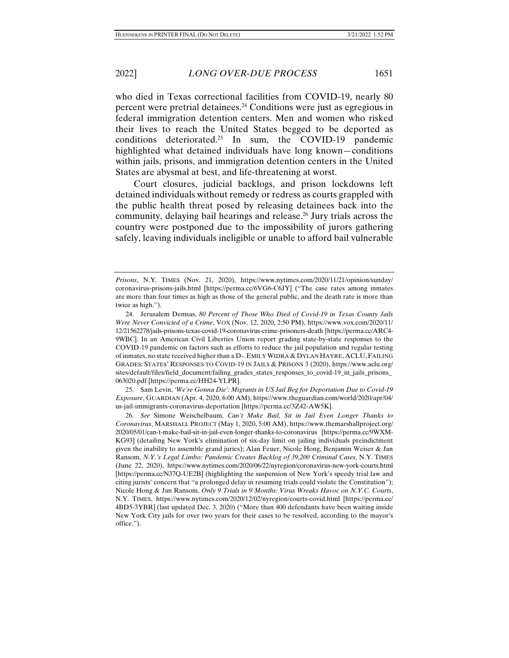who died in Texas correctional facilities from COVID-19, nearly 80 percent were pretrial detainees.24 Conditions were just as egregious in federal immigration detention centers. Men and women who risked their lives to reach the United States begged to be deported as conditions deteriorated.<sup>25</sup> In sum, the COVID-19 pandemic highlighted what detained individuals have long known—conditions within jails, prisons, and immigration detention centers in the United States are abysmal at best, and life-threatening at worst.

Court closures, judicial backlogs, and prison lockdowns left detained individuals without remedy or redress as courts grappled with the public health threat posed by releasing detainees back into the community, delaying bail hearings and release.<sup>26</sup> Jury trials across the country were postponed due to the impossibility of jurors gathering safely, leaving individuals ineligible or unable to afford bail vulnerable

 25. Sam Levin, *'We're Gonna Die': Migrants in US Jail Beg for Deportation Due to Covid-19 Exposure*, GUARDIAN (Apr. 4, 2020, 6:00 AM), https://www.theguardian.com/world/2020/apr/04/ us-jail-immigrants-coronavirus-deportation [https://perma.cc/3Z42-AW5K].

 26. *See* Simone Weischelbaum, *Can't Make Bail, Sit in Jail Even Longer Thanks to Coronavirus*, MARSHALL PROJECT (May 1, 2020, 5:00 AM), https://www.themarshallproject.org/ 2020/05/01/can-t-make-bail-sit-in-jail-even-longer-thanks-to-coronavirus [https://perma.cc/9WXM-KG93] (detailing New York's elimination of six-day limit on jailing individuals preindictment given the inability to assemble grand juries); Alan Feuer, Nicole Hong, Benjamin Weiser & Jan Ransom, *N.Y.'s Legal Limbo: Pandemic Creates Backlog of 39,200 Criminal Cases*, N.Y. TIMES (June 22, 2020), https://www.nytimes.com/2020/06/22/nyregion/coronavirus-new-york-courts.html [https://perma.cc/N37Q-UE2B] (highlighting the suspension of New York's speedy trial law and citing jurists' concern that "a prolonged delay in resuming trials could violate the Constitution"); Nicole Hong & Jan Ransom, *Only 9 Trials in 9 Months: Virus Wreaks Havoc on N.Y.C. Courts*, N.Y. TIMES, https://www.nytimes.com/2020/12/02/nyregion/courts-covid.html [https://perma.cc/ 4BD5-3YBR] (last updated Dec. 3, 2020) ("More than 400 defendants have been waiting inside New York City jails for over two years for their cases to be resolved, according to the mayor's office.").

*Prisons*, N.Y. TIMES (Nov. 21, 2020), https://www.nytimes.com/2020/11/21/opinion/sunday/ coronavirus-prisons-jails.html [https://perma.cc/6VG6-C6JY] ("The case rates among inmates are more than four times as high as those of the general public, and the death rate is more than twice as high.").

 <sup>24.</sup> Jerusalem Demsas, *80 Percent of Those Who Died of Covid-19 in Texas County Jails Were Never Convicted of a Crime*, VOX (Nov. 12, 2020, 2:50 PM), https://www.vox.com/2020/11/ 12/21562278/jails-prisons-texas-covid-19-coronavirus-crime-prisoners-death [https://perma.cc/ARC4- 9WBC]. In an American Civil Liberties Union report grading state-by-state responses to the COVID-19 pandemic on factors such as efforts to reduce the jail population and regular testing of inmates, no state received higher than a D-. EMILY WIDRA & DYLAN HAYRE, ACLU,FAILING GRADES: STATES' RESPONSES TO COVID-19 IN JAILS & PRISONS 3 (2020), https://www.aclu.org/ sites/default/files/field\_document/failing\_grades\_states\_responses\_to\_covid-19\_in\_jails\_prisons\_ 063020.pdf [https://perma.cc/HH24-YLPR].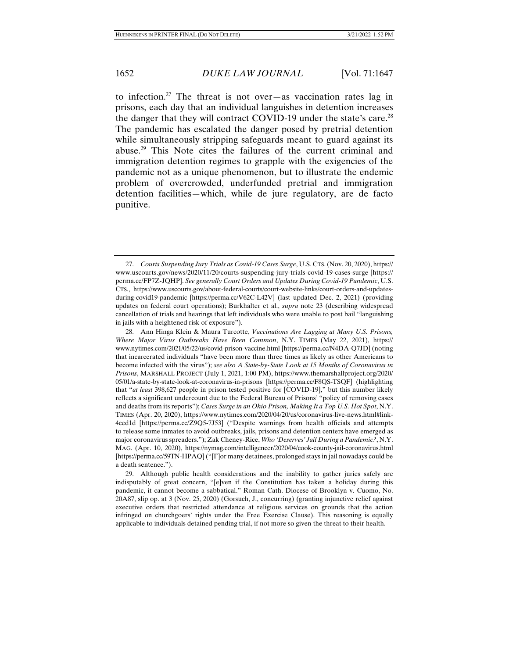to infection.<sup>27</sup> The threat is not over—as vaccination rates lag in prisons, each day that an individual languishes in detention increases the danger that they will contract COVID-19 under the state's care.<sup>28</sup> The pandemic has escalated the danger posed by pretrial detention while simultaneously stripping safeguards meant to guard against its abuse.29 This Note cites the failures of the current criminal and immigration detention regimes to grapple with the exigencies of the pandemic not as a unique phenomenon, but to illustrate the endemic problem of overcrowded, underfunded pretrial and immigration detention facilities—which, while de jure regulatory, are de facto punitive.

 <sup>27.</sup> *Courts Suspending Jury Trials as Covid-19 Cases Surge*, U.S. CTS.(Nov. 20, 2020), https:// www.uscourts.gov/news/2020/11/20/courts-suspending-jury-trials-covid-19-cases-surge [https:// perma.cc/FP7Z-JQHP]. *See generally Court Orders and Updates During Covid-19 Pandemic*, U.S. CTS., https://www.uscourts.gov/about-federal-courts/court-website-links/court-orders-and-updatesduring-covid19-pandemic [https://perma.cc/V62C-L42V] (last updated Dec. 2, 2021) (providing updates on federal court operations); Burkhalter et al., *supra* note 23 (describing widespread cancellation of trials and hearings that left individuals who were unable to post bail "languishing in jails with a heightened risk of exposure").

 <sup>28.</sup> Ann Hinga Klein & Maura Turcotte, *Vaccinations Are Lagging at Many U.S. Prisons, Where Major Virus Outbreaks Have Been Common*, N.Y. TIMES (May 22, 2021), https:// www.nytimes.com/2021/05/22/us/covid-prison-vaccine.html [https://perma.cc/N4DA-Q7JD] (noting that incarcerated individuals "have been more than three times as likely as other Americans to become infected with the virus"); *see also A State-by-State Look at 15 Months of Coronavirus in Prisons*, MARSHALL PROJECT (July 1, 2021, 1:00 PM), https://www.themarshallproject.org/2020/ 05/01/a-state-by-state-look-at-coronavirus-in-prisons [https://perma.cc/F8QS-TSQF] (highlighting that "*at least* 398,627 people in prison tested positive for [COVID-19]," but this number likely reflects a significant undercount due to the Federal Bureau of Prisons' "policy of removing cases and deaths from its reports"); *Cases Surge in an Ohio Prison, Making It a Top U.S. Hot Spot*, N.Y. TIMES (Apr. 20, 2020), https://www.nytimes.com/2020/04/20/us/coronavirus-live-news.html#link-4ced1d [https://perma.cc/Z9Q5-7J53] ("Despite warnings from health officials and attempts to release some inmates to avoid outbreaks, jails, prisons and detention centers have emerged as major coronavirus spreaders."); Zak Cheney-Rice, *Who 'Deserves' Jail During a Pandemic?*, N.Y. MAG. (Apr. 10, 2020), https://nymag.com/intelligencer/2020/04/cook-county-jail-coronavirus.html [https://perma.cc/59TN-HPAQ] ("[F]or many detainees, prolonged stays in jail nowadays could be a death sentence.").

 <sup>29.</sup> Although public health considerations and the inability to gather juries safely are indisputably of great concern, "[e]ven if the Constitution has taken a holiday during this pandemic, it cannot become a sabbatical." Roman Cath. Diocese of Brooklyn v. Cuomo, No. 20A87, slip op. at 3 (Nov. 25, 2020) (Gorsuch, J., concurring) (granting injunctive relief against executive orders that restricted attendance at religious services on grounds that the action infringed on churchgoers' rights under the Free Exercise Clause). This reasoning is equally applicable to individuals detained pending trial, if not more so given the threat to their health.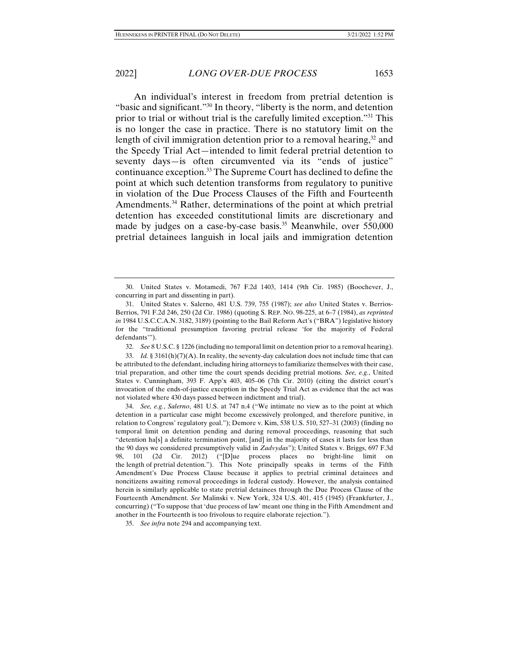An individual's interest in freedom from pretrial detention is "basic and significant."30 In theory, "liberty is the norm, and detention prior to trial or without trial is the carefully limited exception."31 This is no longer the case in practice. There is no statutory limit on the length of civil immigration detention prior to a removal hearing,  $32$  and the Speedy Trial Act—intended to limit federal pretrial detention to seventy days—is often circumvented via its "ends of justice" continuance exception.33 The Supreme Court has declined to define the point at which such detention transforms from regulatory to punitive in violation of the Due Process Clauses of the Fifth and Fourteenth Amendments.<sup>34</sup> Rather, determinations of the point at which pretrial detention has exceeded constitutional limits are discretionary and made by judges on a case-by-case basis.<sup>35</sup> Meanwhile, over 550,000 pretrial detainees languish in local jails and immigration detention

32. *See* 8 U.S.C. § 1226 (including no temporal limit on detention prior to a removal hearing).

 34. *See, e.g.*, *Salerno*, 481 U.S. at 747 n.4 ("We intimate no view as to the point at which detention in a particular case might become excessively prolonged, and therefore punitive, in relation to Congress' regulatory goal."); Demore v. Kim, 538 U.S. 510, 527–31 (2003) (finding no temporal limit on detention pending and during removal proceedings, reasoning that such "detention ha[s] a definite termination point, [and] in the majority of cases it lasts for less than the 90 days we considered presumptively valid in *Zadvydas*"); United States v. Briggs, 697 F.3d 98, 101 (2d Cir. 2012) ("[D]ue process places no bright-line limit on the length of pretrial detention."). This Note principally speaks in terms of the Fifth Amendment's Due Process Clause because it applies to pretrial criminal detainees and noncitizens awaiting removal proceedings in federal custody. However, the analysis contained herein is similarly applicable to state pretrial detainees through the Due Process Clause of the Fourteenth Amendment. *See* Malinski v. New York, 324 U.S. 401, 415 (1945) (Frankfurter, J., concurring) ("To suppose that 'due process of law' meant one thing in the Fifth Amendment and another in the Fourteenth is too frivolous to require elaborate rejection.").

35. *See infra* note 294 and accompanying text.

 <sup>30.</sup> United States v. Motamedi, 767 F.2d 1403, 1414 (9th Cir. 1985) (Boochever, J., concurring in part and dissenting in part).

 <sup>31.</sup> United States v. Salerno, 481 U.S. 739, 755 (1987); *see also* United States v. Berrios-Berrios, 791 F.2d 246, 250 (2d Cir. 1986) (quoting S. REP. NO. 98-225, at 6–7 (1984), *as reprinted in* 1984 U.S.C.C.A.N. 3182, 3189) (pointing to the Bail Reform Act's ("BRA") legislative history for the "traditional presumption favoring pretrial release 'for the majority of Federal defendants'").

 <sup>33.</sup> *Id.* § 3161(h)(7)(A). In reality, the seventy-day calculation does not include time that can be attributed to the defendant, including hiring attorneys to familiarize themselves with their case, trial preparation, and other time the court spends deciding pretrial motions. *See, e.g.*, United States v. Cunningham, 393 F. App'x 403, 405–06 (7th Cir. 2010) (citing the district court's invocation of the ends-of-justice exception in the Speedy Trial Act as evidence that the act was not violated where 430 days passed between indictment and trial).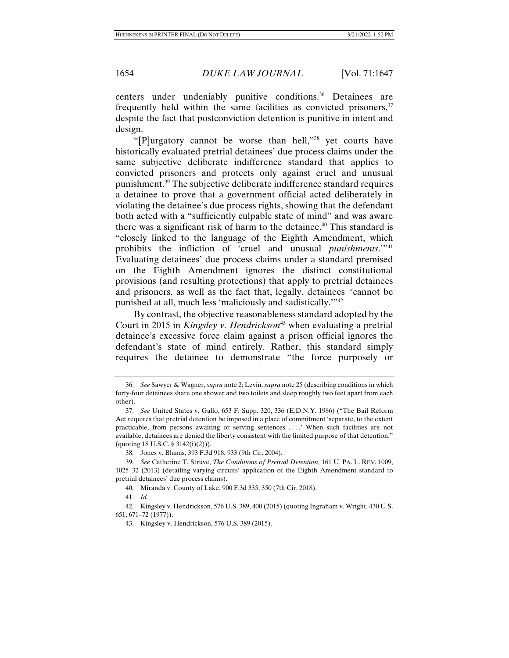centers under undeniably punitive conditions.<sup>36</sup> Detainees are frequently held within the same facilities as convicted prisoners,  $37$ despite the fact that postconviction detention is punitive in intent and design.

"[P]urgatory cannot be worse than hell,"38 yet courts have historically evaluated pretrial detainees' due process claims under the same subjective deliberate indifference standard that applies to convicted prisoners and protects only against cruel and unusual punishment.39 The subjective deliberate indifference standard requires a detainee to prove that a government official acted deliberately in violating the detainee's due process rights, showing that the defendant both acted with a "sufficiently culpable state of mind" and was aware there was a significant risk of harm to the detainee. $40$  This standard is "closely linked to the language of the Eighth Amendment, which prohibits the infliction of 'cruel and unusual *punishments*.'"<sup>41</sup> Evaluating detainees' due process claims under a standard premised on the Eighth Amendment ignores the distinct constitutional provisions (and resulting protections) that apply to pretrial detainees and prisoners, as well as the fact that, legally, detainees *"*cannot be punished at all, much less 'maliciously and sadistically.'"42

By contrast, the objective reasonableness standard adopted by the Court in 2015 in *Kingsley v. Hendrickson*<sup>43</sup> when evaluating a pretrial detainee's excessive force claim against a prison official ignores the defendant's state of mind entirely. Rather, this standard simply requires the detainee to demonstrate "the force purposely or

 <sup>36.</sup> *See* Sawyer & Wagner, *supra* note 2; Levin, *supra* note 25 (describing conditions in which forty-four detainees share one shower and two toilets and sleep roughly two feet apart from each other).

<sup>37.</sup> *See* United States v. Gallo, 653 F. Supp. 320, 336 (E.D.N.Y. 1986) ("The Bail Reform Act requires that pretrial detention be imposed in a place of commitment 'separate, to the extent practicable, from persons awaiting or serving sentences . . . .' When such facilities are not available, detainees are denied the liberty consistent with the limited purpose of that detention." (quoting 18 U.S.C. § 3142(i)(2))).

 <sup>38.</sup> Jones v. Blanas, 393 F.3d 918, 933 (9th Cir. 2004).

 <sup>39.</sup> *See* Catherine T. Struve, *The Conditions of Pretrial Detention*, 161 U. PA. L. REV. 1009, 1025–32 (2013) (detailing varying circuits' application of the Eighth Amendment standard to pretrial detainees' due process claims).

 <sup>40.</sup> Miranda v. County of Lake, 900 F.3d 335, 350 (7th Cir. 2018).

 <sup>41.</sup> *Id.*

 <sup>42.</sup> Kingsley v. Hendrickson, 576 U.S. 389, 400 (2015) (quoting Ingraham v. Wright, 430 U.S. 651, 671–72 (1977)).

 <sup>43.</sup> Kingsley v. Hendrickson, 576 U.S. 389 (2015).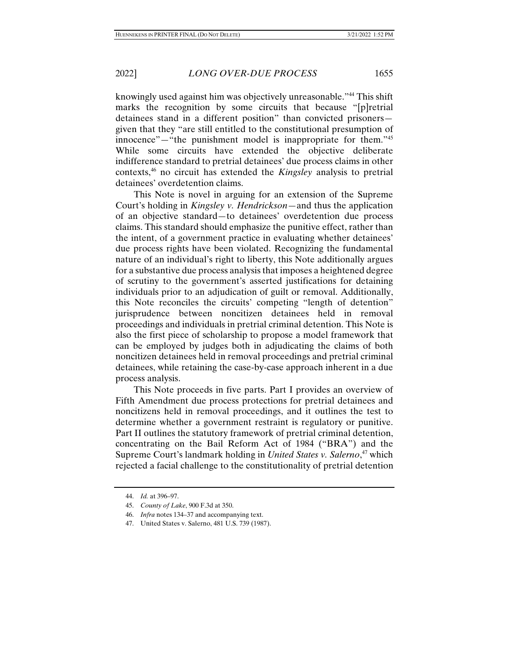knowingly used against him was objectively unreasonable."44 This shift marks the recognition by some circuits that because "[p]retrial detainees stand in a different position" than convicted prisoners given that they "are still entitled to the constitutional presumption of innocence"—"the punishment model is inappropriate for them."45 While some circuits have extended the objective deliberate indifference standard to pretrial detainees' due process claims in other contexts,46 no circuit has extended the *Kingsley* analysis to pretrial detainees' overdetention claims.

This Note is novel in arguing for an extension of the Supreme Court's holding in *Kingsley v. Hendrickson*—and thus the application of an objective standard—to detainees' overdetention due process claims. This standard should emphasize the punitive effect, rather than the intent, of a government practice in evaluating whether detainees' due process rights have been violated. Recognizing the fundamental nature of an individual's right to liberty, this Note additionally argues for a substantive due process analysis that imposes a heightened degree of scrutiny to the government's asserted justifications for detaining individuals prior to an adjudication of guilt or removal. Additionally, this Note reconciles the circuits' competing "length of detention" jurisprudence between noncitizen detainees held in removal proceedings and individuals in pretrial criminal detention. This Note is also the first piece of scholarship to propose a model framework that can be employed by judges both in adjudicating the claims of both noncitizen detainees held in removal proceedings and pretrial criminal detainees, while retaining the case-by-case approach inherent in a due process analysis.

This Note proceeds in five parts. Part I provides an overview of Fifth Amendment due process protections for pretrial detainees and noncitizens held in removal proceedings, and it outlines the test to determine whether a government restraint is regulatory or punitive. Part II outlines the statutory framework of pretrial criminal detention, concentrating on the Bail Reform Act of 1984 ("BRA") and the Supreme Court's landmark holding in *United States v. Salerno*, <sup>47</sup> which rejected a facial challenge to the constitutionality of pretrial detention

 <sup>44.</sup> *Id.* at 396–97.

 <sup>45.</sup> *County of Lake*, 900 F.3d at 350.

 <sup>46.</sup> *Infra* notes 134–37 and accompanying text.

 <sup>47.</sup> United States v. Salerno, 481 U.S. 739 (1987).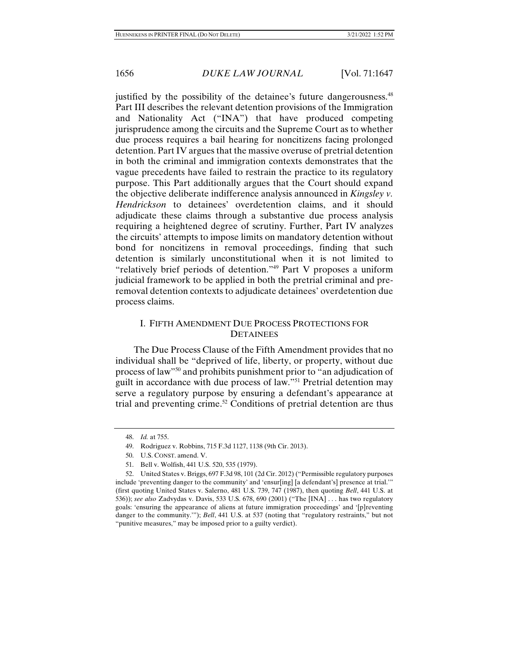justified by the possibility of the detainee's future dangerousness.<sup>48</sup> Part III describes the relevant detention provisions of the Immigration and Nationality Act ("INA") that have produced competing jurisprudence among the circuits and the Supreme Court as to whether due process requires a bail hearing for noncitizens facing prolonged detention. Part IV argues that the massive overuse of pretrial detention in both the criminal and immigration contexts demonstrates that the vague precedents have failed to restrain the practice to its regulatory purpose. This Part additionally argues that the Court should expand the objective deliberate indifference analysis announced in *Kingsley v. Hendrickson* to detainees' overdetention claims, and it should adjudicate these claims through a substantive due process analysis requiring a heightened degree of scrutiny. Further, Part IV analyzes the circuits' attempts to impose limits on mandatory detention without bond for noncitizens in removal proceedings, finding that such detention is similarly unconstitutional when it is not limited to "relatively brief periods of detention."49 Part V proposes a uniform judicial framework to be applied in both the pretrial criminal and preremoval detention contexts to adjudicate detainees' overdetention due process claims.

# I. FIFTH AMENDMENT DUE PROCESS PROTECTIONS FOR **DETAINEES**

The Due Process Clause of the Fifth Amendment provides that no individual shall be "deprived of life, liberty, or property, without due process of law"50 and prohibits punishment prior to "an adjudication of guilt in accordance with due process of law."51 Pretrial detention may serve a regulatory purpose by ensuring a defendant's appearance at trial and preventing crime.<sup>52</sup> Conditions of pretrial detention are thus

 <sup>48.</sup> *Id.* at 755.

 <sup>49.</sup> Rodriguez v. Robbins, 715 F.3d 1127, 1138 (9th Cir. 2013).

 <sup>50.</sup> U.S. CONST. amend. V.

 <sup>51.</sup> Bell v. Wolfish, 441 U.S. 520, 535 (1979).

 <sup>52.</sup> United States v. Briggs, 697 F.3d 98, 101 (2d Cir. 2012) ("Permissible regulatory purposes include 'preventing danger to the community' and 'ensur[ing] [a defendant's] presence at trial.'" (first quoting United States v. Salerno, 481 U.S. 739, 747 (1987), then quoting *Bell*, 441 U.S. at 536)); *see also* Zadvydas v. Davis, 533 U.S. 678, 690 (2001) ("The [INA] . . . has two regulatory goals: 'ensuring the appearance of aliens at future immigration proceedings' and '[p]reventing danger to the community.""); *Bell*, 441 U.S. at 537 (noting that "regulatory restraints," but not "punitive measures," may be imposed prior to a guilty verdict).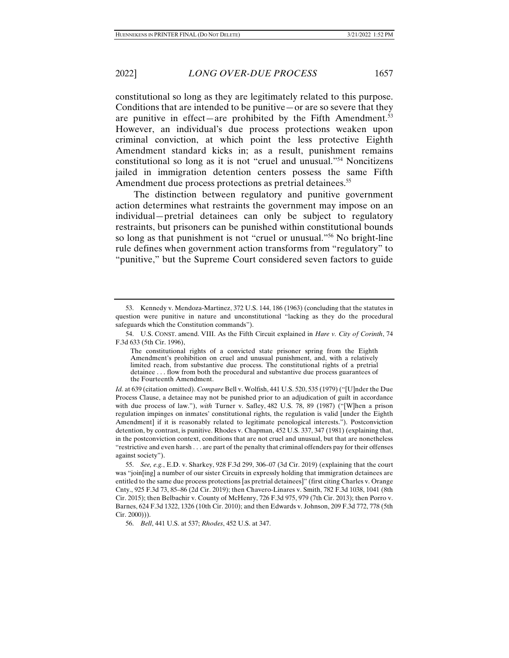constitutional so long as they are legitimately related to this purpose. Conditions that are intended to be punitive—or are so severe that they are punitive in effect—are prohibited by the Fifth Amendment.<sup>53</sup> However, an individual's due process protections weaken upon criminal conviction, at which point the less protective Eighth Amendment standard kicks in; as a result, punishment remains constitutional so long as it is not "cruel and unusual."54 Noncitizens jailed in immigration detention centers possess the same Fifth Amendment due process protections as pretrial detainees.<sup>55</sup>

The distinction between regulatory and punitive government action determines what restraints the government may impose on an individual—pretrial detainees can only be subject to regulatory restraints, but prisoners can be punished within constitutional bounds so long as that punishment is not "cruel or unusual."56 No bright-line rule defines when government action transforms from "regulatory" to "punitive," but the Supreme Court considered seven factors to guide

 <sup>53.</sup> Kennedy v. Mendoza-Martinez, 372 U.S. 144, 186 (1963) (concluding that the statutes in question were punitive in nature and unconstitutional "lacking as they do the procedural safeguards which the Constitution commands").

 <sup>54.</sup> U.S. CONST. amend. VIII. As the Fifth Circuit explained in *Hare v. City of Corinth*, 74 F.3d 633 (5th Cir. 1996),

The constitutional rights of a convicted state prisoner spring from the Eighth Amendment's prohibition on cruel and unusual punishment, and, with a relatively limited reach, from substantive due process. The constitutional rights of a pretrial detainee . . . flow from both the procedural and substantive due process guarantees of the Fourteenth Amendment.

*Id.* at 639 (citation omitted). *Compare* Bell v. Wolfish, 441 U.S. 520, 535 (1979) ("[U]nder the Due Process Clause, a detainee may not be punished prior to an adjudication of guilt in accordance with due process of law."), *with* Turner v. Safley, 482 U.S. 78, 89 (1987) ("[W]hen a prison regulation impinges on inmates' constitutional rights, the regulation is valid [under the Eighth Amendment] if it is reasonably related to legitimate penological interests."). Postconviction detention, by contrast, is punitive. Rhodes v. Chapman, 452 U.S. 337, 347 (1981) (explaining that, in the postconviction context, conditions that are not cruel and unusual, but that are nonetheless "restrictive and even harsh . . . are part of the penalty that criminal offenders pay for their offenses against society").

 <sup>55.</sup> *See, e.g.*, E.D. v. Sharkey, 928 F.3d 299, 306–07 (3d Cir. 2019) (explaining that the court was "join[ing] a number of our sister Circuits in expressly holding that immigration detainees are entitled to the same due process protections [as pretrial detainees]" (first citing Charles v. Orange Cnty., 925 F.3d 73, 85–86 (2d Cir. 2019); then Chavero-Linares v. Smith, 782 F.3d 1038, 1041 (8th Cir. 2015); then Belbachir v. County of McHenry, 726 F.3d 975, 979 (7th Cir. 2013); then Porro v. Barnes, 624 F.3d 1322, 1326 (10th Cir. 2010); and then Edwards v. Johnson, 209 F.3d 772, 778 (5th Cir. 2000))).

 <sup>56.</sup> *Bell*, 441 U.S. at 537; *Rhodes*, 452 U.S. at 347.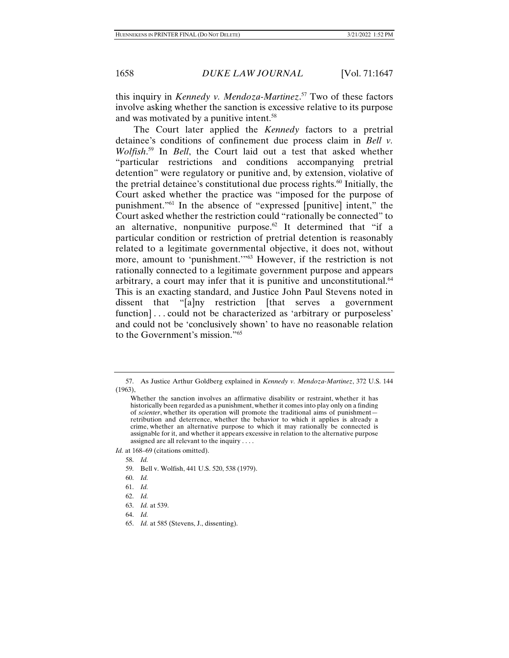this inquiry in *Kennedy v. Mendoza-Martinez*. 57 Two of these factors involve asking whether the sanction is excessive relative to its purpose and was motivated by a punitive intent.58

The Court later applied the *Kennedy* factors to a pretrial detainee's conditions of confinement due process claim in *Bell v. Wolfish*. 59 In *Bell*, the Court laid out a test that asked whether "particular restrictions and conditions accompanying pretrial detention" were regulatory or punitive and, by extension, violative of the pretrial detainee's constitutional due process rights. $60$  Initially, the Court asked whether the practice was "imposed for the purpose of punishment."61 In the absence of "expressed [punitive] intent," the Court asked whether the restriction could "rationally be connected" to an alternative, nonpunitive purpose.<sup>62</sup> It determined that "if a particular condition or restriction of pretrial detention is reasonably related to a legitimate governmental objective, it does not, without more, amount to 'punishment.'"63 However, if the restriction is not rationally connected to a legitimate government purpose and appears arbitrary, a court may infer that it is punitive and unconstitutional.<sup>64</sup> This is an exacting standard, and Justice John Paul Stevens noted in dissent that "[a]ny restriction [that serves a government function]... could not be characterized as 'arbitrary or purposeless' and could not be 'conclusively shown' to have no reasonable relation to the Government's mission."65

- 58. *Id.*
- 59. Bell v. Wolfish, 441 U.S. 520, 538 (1979).
- 60. *Id.*
- 61. *Id.*
- 62. *Id.*
- 63. *Id.* at 539.
- 64. *Id.*
- 65. *Id.* at 585 (Stevens, J., dissenting).

 <sup>57.</sup> As Justice Arthur Goldberg explained in *Kennedy v. Mendoza-Martinez*, 372 U.S. 144 (1963),

Whether the sanction involves an affirmative disability or restraint, whether it has historically been regarded as a punishment,whether it comes into play only on a finding of *scienter*, whether its operation will promote the traditional aims of punishment retribution and deterrence, whether the behavior to which it applies is already a crime, whether an alternative purpose to which it may rationally be connected is assignable for it, and whether it appears excessive in relation to the alternative purpose assigned are all relevant to the inquiry . . . .

*Id.* at 168–69 (citations omitted).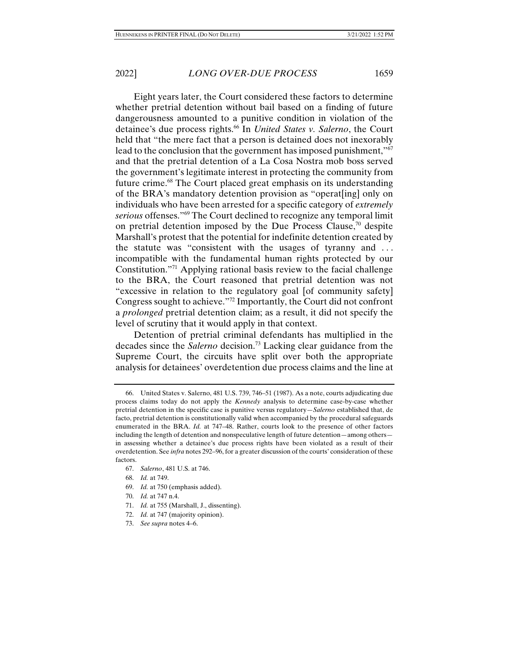Eight years later, the Court considered these factors to determine whether pretrial detention without bail based on a finding of future dangerousness amounted to a punitive condition in violation of the detainee's due process rights.66 In *United States v. Salerno*, the Court held that "the mere fact that a person is detained does not inexorably lead to the conclusion that the government has imposed punishment,"<sup>67</sup> and that the pretrial detention of a La Cosa Nostra mob boss served the government's legitimate interest in protecting the community from future crime.68 The Court placed great emphasis on its understanding of the BRA's mandatory detention provision as "operat[ing] only on individuals who have been arrested for a specific category of *extremely serious* offenses."69 The Court declined to recognize any temporal limit on pretrial detention imposed by the Due Process Clause, $\frac{70}{10}$  despite Marshall's protest that the potential for indefinite detention created by the statute was "consistent with the usages of tyranny and ... incompatible with the fundamental human rights protected by our Constitution."71 Applying rational basis review to the facial challenge to the BRA, the Court reasoned that pretrial detention was not "excessive in relation to the regulatory goal [of community safety] Congress sought to achieve."72 Importantly, the Court did not confront a *prolonged* pretrial detention claim; as a result, it did not specify the level of scrutiny that it would apply in that context.

Detention of pretrial criminal defendants has multiplied in the decades since the *Salerno* decision.73 Lacking clear guidance from the Supreme Court, the circuits have split over both the appropriate analysis for detainees' overdetention due process claims and the line at

- 69. *Id.* at 750 (emphasis added).
- 70. *Id.* at 747 n.4.
- 71. *Id.* at 755 (Marshall, J., dissenting).
- 72. *Id.* at 747 (majority opinion).
- 73. *See supra* notes 4–6.

 <sup>66.</sup> United States v. Salerno, 481 U.S. 739, 746–51 (1987). As a note, courts adjudicating due process claims today do not apply the *Kennedy* analysis to determine case-by-case whether pretrial detention in the specific case is punitive versus regulatory—*Salerno* established that, de facto, pretrial detention is constitutionally valid when accompanied by the procedural safeguards enumerated in the BRA. *Id.* at 747–48. Rather, courts look to the presence of other factors including the length of detention and nonspeculative length of future detention—among others in assessing whether a detainee's due process rights have been violated as a result of their overdetention. See *infra* notes 292–96, for a greater discussion of the courts' consideration of these factors.

 <sup>67.</sup> *Salerno*, 481 U.S. at 746.

 <sup>68.</sup> *Id.* at 749.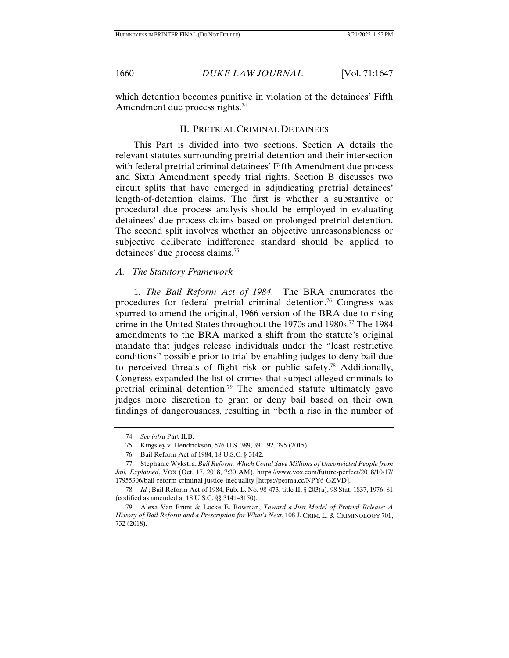which detention becomes punitive in violation of the detainees' Fifth Amendment due process rights.<sup>74</sup>

## II. PRETRIAL CRIMINAL DETAINEES

This Part is divided into two sections. Section A details the relevant statutes surrounding pretrial detention and their intersection with federal pretrial criminal detainees' Fifth Amendment due process and Sixth Amendment speedy trial rights. Section B discusses two circuit splits that have emerged in adjudicating pretrial detainees' length-of-detention claims. The first is whether a substantive or procedural due process analysis should be employed in evaluating detainees' due process claims based on prolonged pretrial detention. The second split involves whether an objective unreasonableness or subjective deliberate indifference standard should be applied to detainees' due process claims.75

## *A. The Statutory Framework*

1. *The Bail Reform Act of 1984*. The BRA enumerates the procedures for federal pretrial criminal detention.<sup>76</sup> Congress was spurred to amend the original, 1966 version of the BRA due to rising crime in the United States throughout the 1970s and 1980s.<sup>77</sup> The 1984 amendments to the BRA marked a shift from the statute's original mandate that judges release individuals under the "least restrictive conditions" possible prior to trial by enabling judges to deny bail due to perceived threats of flight risk or public safety.78 Additionally, Congress expanded the list of crimes that subject alleged criminals to pretrial criminal detention.79 The amended statute ultimately gave judges more discretion to grant or deny bail based on their own findings of dangerousness, resulting in "both a rise in the number of

 <sup>74.</sup> *See infra* Part II.B.

<sup>75.</sup> Kingsley v. Hendrickson, 576 U.S. 389, 391–92, 395 (2015).

 <sup>76.</sup> Bail Reform Act of 1984, 18 U.S.C. § 3142.

 <sup>77.</sup> Stephanie Wykstra, *Bail Reform, Which Could Save Millions of Unconvicted People from Jail, Explained*, VOX (Oct. 17, 2018, 7:30 AM), https://www.vox.com/future-perfect/2018/10/17/ 17955306/bail-reform-criminal-justice-inequality [https://perma.cc/NPY6-GZVD].

 <sup>78.</sup> *Id.*; Bail Reform Act of 1984, Pub. L. No. 98-473, title II, § 203(a), 98 Stat. 1837, 1976–81 (codified as amended at 18 U.S.C. §§ 3141–3150).

 <sup>79.</sup> Alexa Van Brunt & Locke E. Bowman, *Toward a Just Model of Pretrial Release: A History of Bail Reform and a Prescription for What's Next*, 108 J. CRIM. L. & CRIMINOLOGY 701, 732 (2018).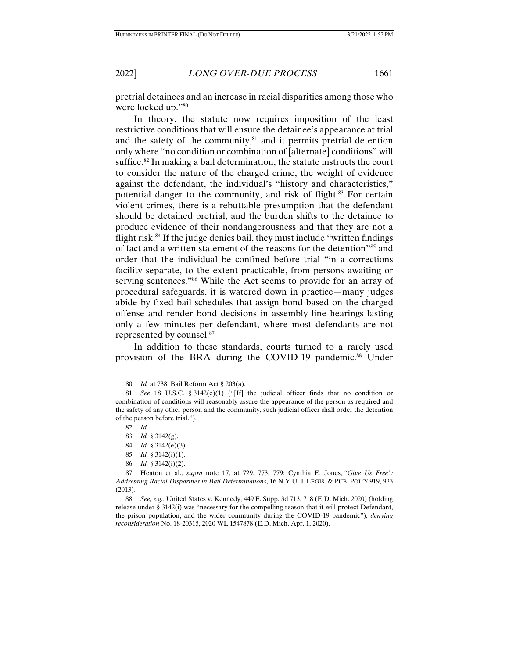pretrial detainees and an increase in racial disparities among those who were locked up."80

In theory, the statute now requires imposition of the least restrictive conditions that will ensure the detainee's appearance at trial and the safety of the community, $81$  and it permits pretrial detention only where "no condition or combination of [alternate] conditions" will suffice.<sup>82</sup> In making a bail determination, the statute instructs the court to consider the nature of the charged crime, the weight of evidence against the defendant, the individual's "history and characteristics," potential danger to the community, and risk of flight.<sup>83</sup> For certain violent crimes, there is a rebuttable presumption that the defendant should be detained pretrial, and the burden shifts to the detainee to produce evidence of their nondangerousness and that they are not a flight risk.84 If the judge denies bail, they must include "written findings of fact and a written statement of the reasons for the detention<sup>355</sup> and order that the individual be confined before trial "in a corrections facility separate, to the extent practicable, from persons awaiting or serving sentences."<sup>86</sup> While the Act seems to provide for an array of procedural safeguards, it is watered down in practice—many judges abide by fixed bail schedules that assign bond based on the charged offense and render bond decisions in assembly line hearings lasting only a few minutes per defendant, where most defendants are not represented by counsel.87

In addition to these standards, courts turned to a rarely used provision of the BRA during the COVID-19 pandemic.<sup>88</sup> Under

82. *Id.*

- 84. *Id.* § 3142(e)(3).
- 85. *Id.* § 3142(i)(1).
- 86. *Id.* § 3142(i)(2).

 <sup>80.</sup> *Id.* at 738; Bail Reform Act § 203(a).

<sup>81.</sup> *See* 18 U.S.C. § 3142(e)(1) ("[If] the judicial officer finds that no condition or combination of conditions will reasonably assure the appearance of the person as required and the safety of any other person and the community, such judicial officer shall order the detention of the person before trial.").

 <sup>83.</sup> *Id.* § 3142(g).

 <sup>87.</sup> Heaton et al., *supra* note 17, at 729, 773, 779; Cynthia E. Jones, *"Give Us Free": Addressing Racial Disparities in Bail Determinations*, 16 N.Y.U. J. LEGIS. & PUB. POL'Y 919, 933 (2013).

 <sup>88.</sup> *See, e.g.*, United States v. Kennedy, 449 F. Supp. 3d 713, 718 (E.D. Mich. 2020) (holding release under § 3142(i) was "necessary for the compelling reason that it will protect Defendant, the prison population, and the wider community during the COVID-19 pandemic"), *denying reconsideration* No. 18-20315, 2020 WL 1547878 (E.D. Mich. Apr. 1, 2020).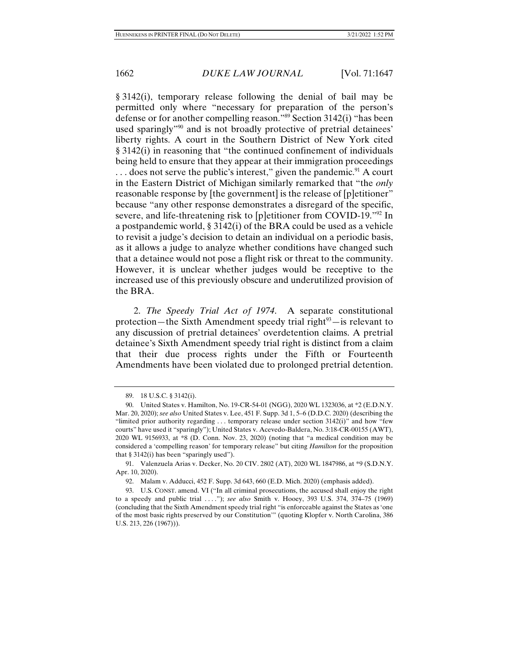§ 3142(i), temporary release following the denial of bail may be permitted only where "necessary for preparation of the person's defense or for another compelling reason."89 Section 3142(i) "has been used sparingly"90 and is not broadly protective of pretrial detainees' liberty rights. A court in the Southern District of New York cited § 3142(i) in reasoning that "the continued confinement of individuals being held to ensure that they appear at their immigration proceedings  $\ldots$  does not serve the public's interest," given the pandemic.<sup>91</sup> A court in the Eastern District of Michigan similarly remarked that "the *only*  reasonable response by [the government] is the release of [p]etitioner" because "any other response demonstrates a disregard of the specific, severe, and life-threatening risk to [p]etitioner from COVID-19."92 In a postpandemic world, § 3142(i) of the BRA could be used as a vehicle to revisit a judge's decision to detain an individual on a periodic basis, as it allows a judge to analyze whether conditions have changed such that a detainee would not pose a flight risk or threat to the community. However, it is unclear whether judges would be receptive to the increased use of this previously obscure and underutilized provision of the BRA.

2. *The Speedy Trial Act of 1974*. A separate constitutional protection—the Sixth Amendment speedy trial right $93$ —is relevant to any discussion of pretrial detainees' overdetention claims. A pretrial detainee's Sixth Amendment speedy trial right is distinct from a claim that their due process rights under the Fifth or Fourteenth Amendments have been violated due to prolonged pretrial detention.

 <sup>89. 18</sup> U.S.C. § 3142(i).

 <sup>90.</sup> United States v. Hamilton, No. 19-CR-54-01 (NGG), 2020 WL 1323036, at \*2 (E.D.N.Y. Mar. 20, 2020); *see also* United States v. Lee, 451 F. Supp. 3d 1, 5–6 (D.D.C. 2020) (describing the "limited prior authority regarding  $\dots$  temporary release under section 3142(i)" and how "few courts" have used it "sparingly"); United States v. Acevedo-Baldera, No. 3:18-CR-00155 (AWT), 2020 WL 9156933, at \*8 (D. Conn. Nov. 23, 2020) (noting that "a medical condition may be considered a 'compelling reason' for temporary release" but citing *Hamilton* for the proposition that  $§$  3142(i) has been "sparingly used").

 <sup>91.</sup> Valenzuela Arias v. Decker, No. 20 CIV. 2802 (AT), 2020 WL 1847986, at \*9 (S.D.N.Y. Apr. 10, 2020).

 <sup>92.</sup> Malam v. Adducci, 452 F. Supp. 3d 643, 660 (E.D. Mich. 2020) (emphasis added).

 <sup>93.</sup> U.S. CONST. amend. VI ("In all criminal prosecutions, the accused shall enjoy the right to a speedy and public trial . . . ."); *see also* Smith v. Hooey, 393 U.S. 374, 374–75 (1969) (concluding that the Sixth Amendment speedy trial right "is enforceable against the States as 'one of the most basic rights preserved by our Constitution'" (quoting Klopfer v. North Carolina, 386 U.S. 213, 226 (1967))).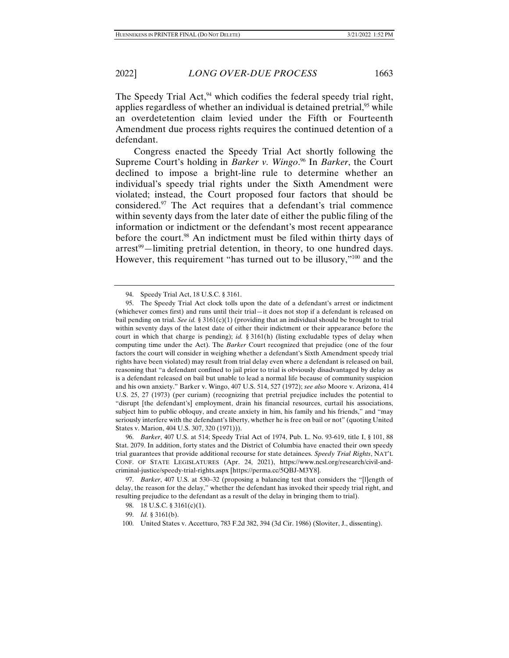The Speedy Trial Act, $94$  which codifies the federal speedy trial right, applies regardless of whether an individual is detained pretrial,  $95$  while an overdetetention claim levied under the Fifth or Fourteenth Amendment due process rights requires the continued detention of a defendant.

Congress enacted the Speedy Trial Act shortly following the Supreme Court's holding in *Barker v. Wingo*. 96 In *Barker*, the Court declined to impose a bright-line rule to determine whether an individual's speedy trial rights under the Sixth Amendment were violated; instead, the Court proposed four factors that should be considered.97 The Act requires that a defendant's trial commence within seventy days from the later date of either the public filing of the information or indictment or the defendant's most recent appearance before the court.<sup>98</sup> An indictment must be filed within thirty days of  $arrest<sup>99</sup>$ —limiting pretrial detention, in theory, to one hundred days. However, this requirement "has turned out to be illusory,"100 and the

 <sup>94.</sup> Speedy Trial Act, 18 U.S.C. § 3161.

 <sup>95.</sup> The Speedy Trial Act clock tolls upon the date of a defendant's arrest or indictment (whichever comes first) and runs until their trial—it does not stop if a defendant is released on bail pending on trial. *See id.*  $\S 3161(c)(1)$  (providing that an individual should be brought to trial within seventy days of the latest date of either their indictment or their appearance before the court in which that charge is pending); *id.* § 3161(h) (listing excludable types of delay when computing time under the Act). The *Barker* Court recognized that prejudice (one of the four factors the court will consider in weighing whether a defendant's Sixth Amendment speedy trial rights have been violated) may result from trial delay even where a defendant is released on bail, reasoning that "a defendant confined to jail prior to trial is obviously disadvantaged by delay as is a defendant released on bail but unable to lead a normal life because of community suspicion and his own anxiety." Barker v. Wingo, 407 U.S. 514, 527 (1972); *see also* Moore v. Arizona, 414 U.S. 25, 27 (1973) (per curiam) (recognizing that pretrial prejudice includes the potential to "disrupt [the defendant's] employment, drain his financial resources, curtail his associations, subject him to public obloquy, and create anxiety in him, his family and his friends," and "may seriously interfere with the defendant's liberty, whether he is free on bail or not" (quoting United States v. Marion, 404 U.S. 307, 320 (1971))).

 <sup>96.</sup> *Barker*, 407 U.S. at 514; Speedy Trial Act of 1974, Pub. L. No. 93-619, title I, § 101, 88 Stat. 2079. In addition, forty states and the District of Columbia have enacted their own speedy trial guarantees that provide additional recourse for state detainees. *Speedy Trial Rights*, NAT'L CONF. OF STATE LEGISLATURES (Apr. 24, 2021), https://www.ncsl.org/research/civil-andcriminal-justice/speedy-trial-rights.aspx [https://perma.cc/5QBJ-M3Y8].

 <sup>97.</sup> *Barker*, 407 U.S. at 530–32 (proposing a balancing test that considers the "[l]ength of delay, the reason for the delay," whether the defendant has invoked their speedy trial right, and resulting prejudice to the defendant as a result of the delay in bringing them to trial).

<sup>98. 18</sup> U.S.C. § 3161(c)(1).

 <sup>99.</sup> *Id.* § 3161(b).

 <sup>100.</sup> United States v. Accetturo, 783 F.2d 382, 394 (3d Cir. 1986) (Sloviter, J., dissenting).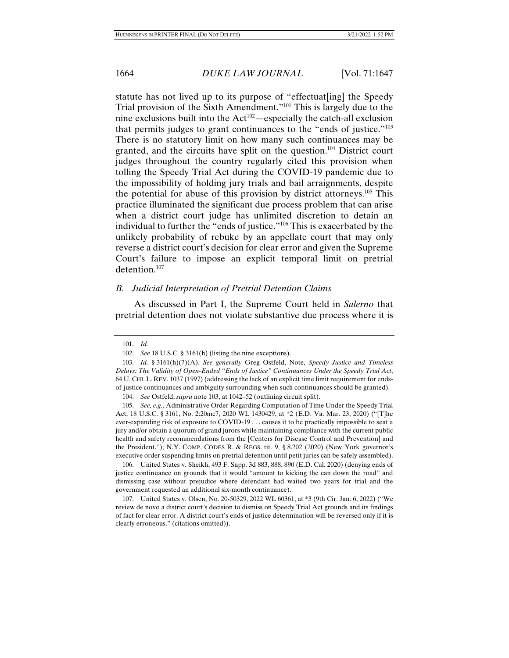statute has not lived up to its purpose of "effectuat[ing] the Speedy Trial provision of the Sixth Amendment."101 This is largely due to the nine exclusions built into the  $Act^{102}$  -especially the catch-all exclusion that permits judges to grant continuances to the "ends of justice."103 There is no statutory limit on how many such continuances may be granted, and the circuits have split on the question.104 District court judges throughout the country regularly cited this provision when tolling the Speedy Trial Act during the COVID-19 pandemic due to the impossibility of holding jury trials and bail arraignments, despite the potential for abuse of this provision by district attorneys.105 This practice illuminated the significant due process problem that can arise when a district court judge has unlimited discretion to detain an individual to further the "ends of justice."106 This is exacerbated by the unlikely probability of rebuke by an appellate court that may only reverse a district court's decision for clear error and given the Supreme Court's failure to impose an explicit temporal limit on pretrial detention.107

#### *B. Judicial Interpretation of Pretrial Detention Claims*

As discussed in Part I, the Supreme Court held in *Salerno* that pretrial detention does not violate substantive due process where it is

104. *See* Ostfeld, *supra* note 103, at 1042–52 (outlining circuit split).

 105. *See, e.g.*, Administrative Order Regarding Computation of Time Under the Speedy Trial Act, 18 U.S.C. § 3161, No. 2:20mc7, 2020 WL 1430429, at \*2 (E.D. Va. Mar. 23, 2020) ("[T]he ever-expanding risk of exposure to COVID-19 . . . causes it to be practically impossible to seat a jury and/or obtain a quorum of grand jurors while maintaining compliance with the current public health and safety recommendations from the [Centers for Disease Control and Prevention] and the President."); N.Y. COMP. CODES R. & REGS. tit. 9, § 8.202 (2020) (New York governor's executive order suspending limits on pretrial detention until petit juries can be safely assembled).

 106. United States v. Sheikh, 493 F. Supp. 3d 883, 888, 890 (E.D. Cal. 2020) (denying ends of justice continuance on grounds that it would "amount to kicking the can down the road" and dismissing case without prejudice where defendant had waited two years for trial and the government requested an additional six-month continuance).

 107. United States v. Olsen, No. 20-50329, 2022 WL 60361, at \*3 (9th Cir. Jan. 6, 2022) ("We review de novo a district court's decision to dismiss on Speedy Trial Act grounds and its findings of fact for clear error. A district court's ends of justice determination will be reversed only if it is clearly erroneous." (citations omitted)).

 <sup>101.</sup> *Id.*

 <sup>102.</sup> *See* 18 U.S.C. § 3161(h) (listing the nine exceptions).

 <sup>103.</sup> *Id.* § 3161(h)(7)(A). *See generally* Greg Ostfeld, Note, *Speedy Justice and Timeless Delays: The Validity of Open-Ended "Ends of Justice" Continuances Under the Speedy Trial Act*, 64 U. CHI. L. REV. 1037 (1997) (addressing the lack of an explicit time limit requirement for endsof-justice continuances and ambiguity surrounding when such continuances should be granted).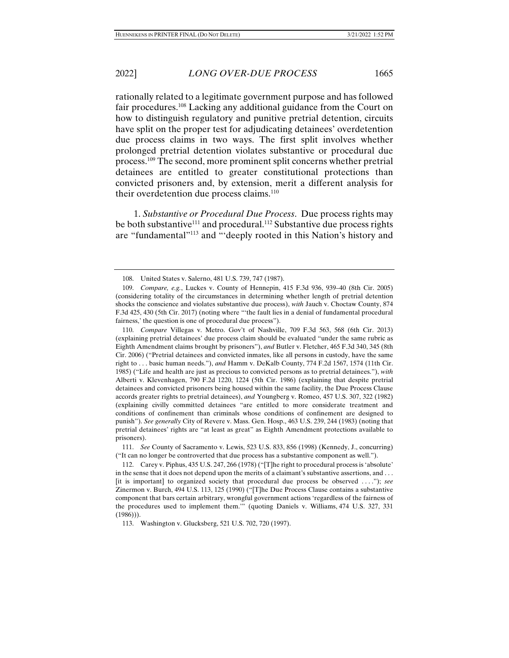rationally related to a legitimate government purpose and has followed fair procedures.<sup>108</sup> Lacking any additional guidance from the Court on how to distinguish regulatory and punitive pretrial detention, circuits have split on the proper test for adjudicating detainees' overdetention due process claims in two ways. The first split involves whether prolonged pretrial detention violates substantive or procedural due process.109 The second, more prominent split concerns whether pretrial detainees are entitled to greater constitutional protections than convicted prisoners and, by extension, merit a different analysis for their overdetention due process claims.<sup>110</sup>

1. *Substantive or Procedural Due Process*. Due process rights may be both substantive<sup>111</sup> and procedural.<sup>112</sup> Substantive due process rights are "fundamental"113 and "'deeply rooted in this Nation's history and

110. *Compare* Villegas v. Metro. Gov't of Nashville, 709 F.3d 563, 568 (6th Cir. 2013) (explaining pretrial detainees' due process claim should be evaluated "under the same rubric as Eighth Amendment claims brought by prisoners"), *and* Butler v. Fletcher, 465 F.3d 340, 345 (8th Cir. 2006) ("Pretrial detainees and convicted inmates, like all persons in custody, have the same right to . . . basic human needs."), *and* Hamm v. DeKalb County, 774 F.2d 1567, 1574 (11th Cir. 1985) ("Life and health are just as precious to convicted persons as to pretrial detainees."), *with*  Alberti v. Klevenhagen, 790 F.2d 1220, 1224 (5th Cir. 1986) (explaining that despite pretrial detainees and convicted prisoners being housed within the same facility, the Due Process Clause accords greater rights to pretrial detainees), *and* Youngberg v. Romeo, 457 U.S. 307, 322 (1982) (explaining civilly committed detainees "are entitled to more considerate treatment and conditions of confinement than criminals whose conditions of confinement are designed to punish"). *See generally* City of Revere v. Mass. Gen. Hosp., 463 U.S. 239, 244 (1983) (noting that pretrial detainees' rights are "at least as great" as Eighth Amendment protections available to prisoners).

 <sup>108.</sup> United States v. Salerno, 481 U.S. 739, 747 (1987).

 <sup>109.</sup> *Compare, e.g.*, Luckes v. County of Hennepin, 415 F.3d 936, 939–40 (8th Cir. 2005) (considering totality of the circumstances in determining whether length of pretrial detention shocks the conscience and violates substantive due process), *with* Jauch v. Choctaw County, 874 F.3d 425, 430 (5th Cir. 2017) (noting where "'the fault lies in a denial of fundamental procedural fairness,' the question is one of procedural due process").

 <sup>111.</sup> *See* County of Sacramento v. Lewis, 523 U.S. 833, 856 (1998) (Kennedy, J., concurring) ("It can no longer be controverted that due process has a substantive component as well.").

 <sup>112.</sup> Carey v. Piphus, 435 U.S. 247, 266 (1978) ("[T]he right to procedural process is 'absolute' in the sense that it does not depend upon the merits of a claimant's substantive assertions, and . . . [it is important] to organized society that procedural due process be observed . . . ."); *see*  Zinermon v. Burch, 494 U.S. 113, 125 (1990) ("[T]he Due Process Clause contains a substantive component that bars certain arbitrary, wrongful government actions 'regardless of the fairness of the procedures used to implement them.'" (quoting Daniels v. Williams, 474 U.S. 327, 331  $(1986))$ .

 <sup>113.</sup> Washington v. Glucksberg, 521 U.S. 702, 720 (1997).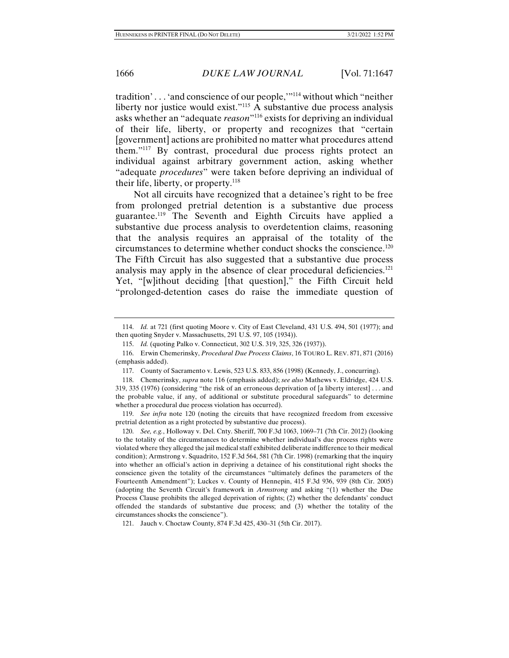tradition' . . . 'and conscience of our people,'"114 without which "neither liberty nor justice would exist."115 A substantive due process analysis asks whether an "adequate *reason*"116 exists for depriving an individual of their life, liberty, or property and recognizes that "certain [government] actions are prohibited no matter what procedures attend them."117 By contrast, procedural due process rights protect an individual against arbitrary government action, asking whether "adequate *procedures*" were taken before depriving an individual of their life, liberty, or property. $118$ 

Not all circuits have recognized that a detainee's right to be free from prolonged pretrial detention is a substantive due process guarantee.119 The Seventh and Eighth Circuits have applied a substantive due process analysis to overdetention claims, reasoning that the analysis requires an appraisal of the totality of the circumstances to determine whether conduct shocks the conscience.120 The Fifth Circuit has also suggested that a substantive due process analysis may apply in the absence of clear procedural deficiencies.<sup>121</sup> Yet, "[w]ithout deciding [that question]," the Fifth Circuit held "prolonged-detention cases do raise the immediate question of

 119. *See infra* note 120 (noting the circuits that have recognized freedom from excessive pretrial detention as a right protected by substantive due process).

 120. *See, e.g.*, Holloway v. Del. Cnty. Sheriff, 700 F.3d 1063, 1069–71 (7th Cir. 2012) (looking to the totality of the circumstances to determine whether individual's due process rights were violated where they alleged the jail medical staff exhibited deliberate indifference to their medical condition); Armstrong v. Squadrito, 152 F.3d 564, 581 (7th Cir. 1998) (remarking that the inquiry into whether an official's action in depriving a detainee of his constitutional right shocks the conscience given the totality of the circumstances "ultimately defines the parameters of the Fourteenth Amendment"); Luckes v. County of Hennepin, 415 F.3d 936, 939 (8th Cir. 2005) (adopting the Seventh Circuit's framework in *Armstrong* and asking "(1) whether the Due Process Clause prohibits the alleged deprivation of rights; (2) whether the defendants' conduct offended the standards of substantive due process; and (3) whether the totality of the circumstances shocks the conscience").

121. Jauch v. Choctaw County, 874 F.3d 425, 430–31 (5th Cir. 2017).

 <sup>114.</sup> *Id.* at 721 (first quoting Moore v. City of East Cleveland, 431 U.S. 494, 501 (1977); and then quoting Snyder v. Massachusetts, 291 U.S. 97, 105 (1934)).

 <sup>115.</sup> *Id.* (quoting Palko v. Connecticut, 302 U.S. 319, 325, 326 (1937)).

 <sup>116.</sup> Erwin Chemerinsky, *Procedural Due Process Claims*, 16 TOURO L. REV. 871, 871 (2016) (emphasis added).

 <sup>117.</sup> County of Sacramento v. Lewis, 523 U.S. 833, 856 (1998) (Kennedy, J., concurring).

 <sup>118.</sup> Chemerinsky, *supra* note 116 (emphasis added); *see also* Mathews v. Eldridge, 424 U.S. 319, 335 (1976) (considering "the risk of an erroneous deprivation of [a liberty interest] . . . and the probable value, if any, of additional or substitute procedural safeguards" to determine whether a procedural due process violation has occurred).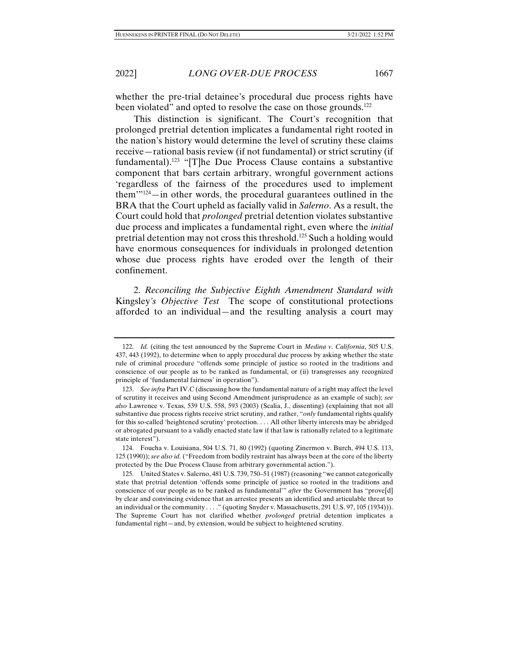whether the pre-trial detainee's procedural due process rights have been violated" and opted to resolve the case on those grounds.<sup>122</sup>

This distinction is significant. The Court's recognition that prolonged pretrial detention implicates a fundamental right rooted in the nation's history would determine the level of scrutiny these claims receive—rational basis review (if not fundamental) or strict scrutiny (if fundamental).<sup>123</sup> "[T]he Due Process Clause contains a substantive component that bars certain arbitrary, wrongful government actions 'regardless of the fairness of the procedures used to implement them'"124—in other words, the procedural guarantees outlined in the BRA that the Court upheld as facially valid in *Salerno*. As a result, the Court could hold that *prolonged* pretrial detention violates substantive due process and implicates a fundamental right, even where the *initial*  pretrial detention may not cross this threshold.125 Such a holding would have enormous consequences for individuals in prolonged detention whose due process rights have eroded over the length of their confinement.

2. *Reconciling the Subjective Eighth Amendment Standard with*  Kingsley*'s Objective Test* The scope of constitutional protections afforded to an individual—and the resulting analysis a court may

 <sup>122.</sup> *Id.* (citing the test announced by the Supreme Court in *Medina v. California*, 505 U.S. 437, 443 (1992), to determine when to apply procedural due process by asking whether the state rule of criminal procedure "offends some principle of justice so rooted in the traditions and conscience of our people as to be ranked as fundamental, or (ii) transgresses any recognized principle of 'fundamental fairness' in operation").

 <sup>123.</sup> *See infra* Part IV.C (discussing how the fundamental nature of a right may affect the level of scrutiny it receives and using Second Amendment jurisprudence as an example of such); *see also* Lawrence v. Texas, 539 U.S. 558, 593 (2003) (Scalia, J., dissenting) (explaining that not all substantive due process rights receive strict scrutiny, and rather, "*only* fundamental rights qualify for this so-called 'heightened scrutiny' protection. . . . All other liberty interests may be abridged or abrogated pursuant to a validly enacted state law if that law is rationally related to a legitimate state interest").

 <sup>124.</sup> Foucha v. Louisiana, 504 U.S. 71, 80 (1992) (quoting Zinermon v. Burch, 494 U.S. 113, 125 (1990)); *see also id.* ("Freedom from bodily restraint has always been at the core of the liberty protected by the Due Process Clause from arbitrary governmental action.").

 <sup>125.</sup> United States v. Salerno, 481 U.S. 739, 750–51 (1987) (reasoning "we cannot categorically state that pretrial detention 'offends some principle of justice so rooted in the traditions and conscience of our people as to be ranked as fundamental'" *after* the Government has "prove[d] by clear and convincing evidence that an arrestee presents an identified and articulable threat to an individual or the community . . . ." (quoting Snyder v. Massachusetts, 291 U.S. 97, 105 (1934))). The Supreme Court has not clarified whether *prolonged* pretrial detention implicates a fundamental right—and, by extension, would be subject to heightened scrutiny.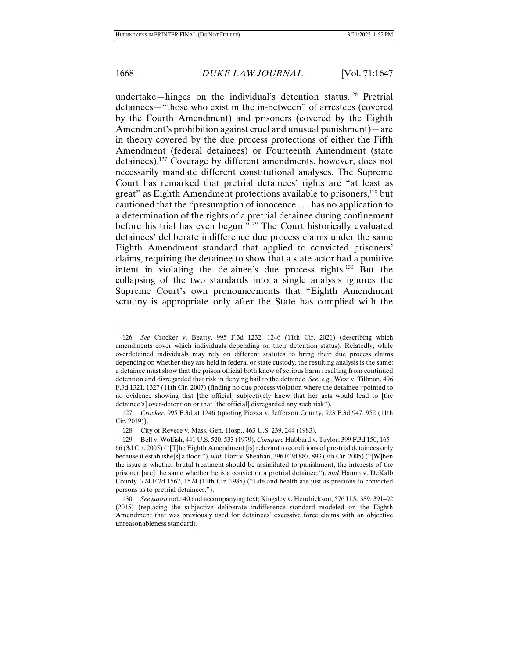undertake—hinges on the individual's detention status.<sup>126</sup> Pretrial detainees—"those who exist in the in-between" of arrestees (covered by the Fourth Amendment) and prisoners (covered by the Eighth Amendment's prohibition against cruel and unusual punishment)—are in theory covered by the due process protections of either the Fifth Amendment (federal detainees) or Fourteenth Amendment (state detainees).127 Coverage by different amendments, however, does not necessarily mandate different constitutional analyses. The Supreme Court has remarked that pretrial detainees' rights are "at least as great" as Eighth Amendment protections available to prisoners,<sup>128</sup> but cautioned that the "presumption of innocence . . . has no application to a determination of the rights of a pretrial detainee during confinement before his trial has even begun."129 The Court historically evaluated detainees' deliberate indifference due process claims under the same Eighth Amendment standard that applied to convicted prisoners' claims, requiring the detainee to show that a state actor had a punitive intent in violating the detainee's due process rights.130 But the collapsing of the two standards into a single analysis ignores the Supreme Court's own pronouncements that "Eighth Amendment scrutiny is appropriate only after the State has complied with the

 <sup>126.</sup> *See* Crocker v. Beatty, 995 F.3d 1232, 1246 (11th Cir. 2021) (describing which amendments cover which individuals depending on their detention status). Relatedly, while overdetained individuals may rely on different statutes to bring their due process claims depending on whether they are held in federal or state custody, the resulting analysis is the same: a detainee must show that the prison official both knew of serious harm resulting from continued detention and disregarded that risk in denying bail to the detainee. *See, e.g.*, West v. Tillman, 496 F.3d 1321, 1327 (11th Cir. 2007) (finding no due process violation where the detainee "pointed to no evidence showing that [the official] subjectively knew that her acts would lead to [the detainee's] over-detention or that [the official] disregarded any such risk").

 <sup>127.</sup> *Crocker*, 995 F.3d at 1246 (quoting Piazza v. Jefferson County, 923 F.3d 947, 952 (11th Cir. 2019)).

 <sup>128.</sup> City of Revere v. Mass. Gen. Hosp., 463 U.S. 239, 244 (1983).

 <sup>129.</sup> Bell v. Wolfish, 441 U.S. 520, 533 (1979). *Compare* Hubbard v. Taylor, 399 F.3d 150, 165– 66 (3d Cir. 2005) ("[T]he Eighth Amendment [is] relevant to conditions of pre-trial detainees only because it establishe[s] a floor."), *with* Hart v. Sheahan, 396 F.3d 887, 893 (7th Cir. 2005) ("[W]hen the issue is whether brutal treatment should be assimilated to punishment, the interests of the prisoner [are] the same whether he is a convict or a pretrial detainee."), *and* Hamm v. DeKalb County, 774 F.2d 1567, 1574 (11th Cir. 1985) ("Life and health are just as precious to convicted persons as to pretrial detainees.").

 <sup>130.</sup> *See supra* note 40 and accompanying text; Kingsley v. Hendrickson, 576 U.S. 389, 391–92 (2015) (replacing the subjective deliberate indifference standard modeled on the Eighth Amendment that was previously used for detainees' excessive force claims with an objective unreasonableness standard).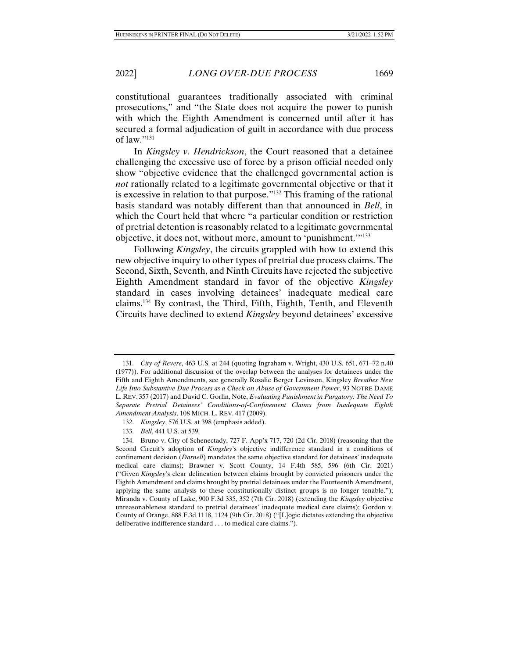constitutional guarantees traditionally associated with criminal prosecutions," and "the State does not acquire the power to punish with which the Eighth Amendment is concerned until after it has secured a formal adjudication of guilt in accordance with due process of law."131

In *Kingsley v. Hendrickson*, the Court reasoned that a detainee challenging the excessive use of force by a prison official needed only show "objective evidence that the challenged governmental action is *not* rationally related to a legitimate governmental objective or that it is excessive in relation to that purpose."132 This framing of the rational basis standard was notably different than that announced in *Bell*, in which the Court held that where "a particular condition or restriction of pretrial detention is reasonably related to a legitimate governmental objective, it does not, without more, amount to 'punishment.'"133

Following *Kingsley*, the circuits grappled with how to extend this new objective inquiry to other types of pretrial due process claims. The Second, Sixth, Seventh, and Ninth Circuits have rejected the subjective Eighth Amendment standard in favor of the objective *Kingsley* standard in cases involving detainees' inadequate medical care claims.134 By contrast, the Third, Fifth, Eighth, Tenth, and Eleventh Circuits have declined to extend *Kingsley* beyond detainees' excessive

 <sup>131.</sup> *City of Revere*, 463 U.S. at 244 (quoting Ingraham v. Wright, 430 U.S. 651, 671–72 n.40 (1977)). For additional discussion of the overlap between the analyses for detainees under the Fifth and Eighth Amendments, see generally Rosalie Berger Levinson, Kingsley *Breathes New Life Into Substantive Due Process as a Check on Abuse of Government Power*, 93 NOTRE DAME L. REV. 357 (2017) and David C. Gorlin, Note, *Evaluating Punishment in Purgatory: The Need To Separate Pretrial Detainees' Conditions-of-Confinement Claims from Inadequate Eighth Amendment Analysis*, 108 MICH. L. REV. 417 (2009).

 <sup>132.</sup> *Kingsley*, 576 U.S. at 398 (emphasis added).

 <sup>133.</sup> *Bell*, 441 U.S. at 539.

 <sup>134.</sup> Bruno v. City of Schenectady, 727 F. App'x 717, 720 (2d Cir. 2018) (reasoning that the Second Circuit's adoption of *Kingsley*'s objective indifference standard in a conditions of confinement decision (*Darnell*) mandates the same objective standard for detainees' inadequate medical care claims); Brawner v. Scott County, 14 F.4th 585, 596 (6th Cir. 2021) ("Given *Kingsley*'s clear delineation between claims brought by convicted prisoners under the Eighth Amendment and claims brought by pretrial detainees under the Fourteenth Amendment, applying the same analysis to these constitutionally distinct groups is no longer tenable."); Miranda v. County of Lake, 900 F.3d 335, 352 (7th Cir. 2018) (extending the *Kingsley* objective unreasonableness standard to pretrial detainees' inadequate medical care claims); Gordon v. County of Orange, 888 F.3d 1118, 1124 (9th Cir. 2018) ("[L]ogic dictates extending the objective deliberative indifference standard . . . to medical care claims.").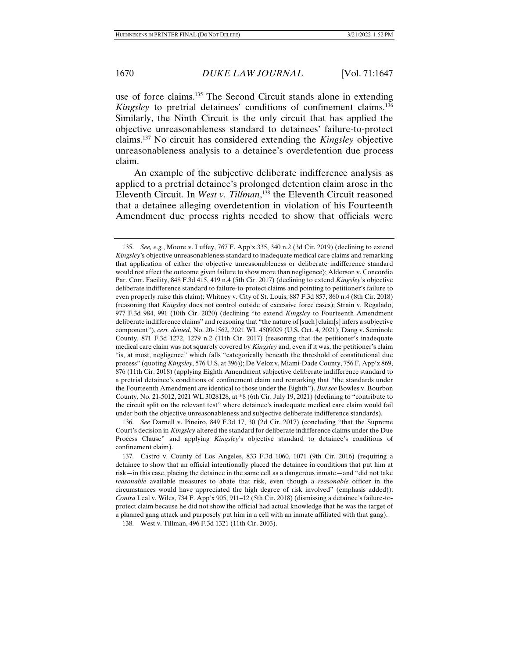use of force claims.135 The Second Circuit stands alone in extending *Kingsley* to pretrial detainees' conditions of confinement claims.136 Similarly, the Ninth Circuit is the only circuit that has applied the objective unreasonableness standard to detainees' failure-to-protect claims.137 No circuit has considered extending the *Kingsley* objective unreasonableness analysis to a detainee's overdetention due process claim.

An example of the subjective deliberate indifference analysis as applied to a pretrial detainee's prolonged detention claim arose in the Eleventh Circuit. In *West v. Tillman*, 138 the Eleventh Circuit reasoned that a detainee alleging overdetention in violation of his Fourteenth Amendment due process rights needed to show that officials were

 <sup>135.</sup> *See, e.g.*, Moore v. Luffey, 767 F. App'x 335, 340 n.2 (3d Cir. 2019) (declining to extend *Kingsley*'s objective unreasonableness standard to inadequate medical care claims and remarking that application of either the objective unreasonableness or deliberate indifference standard would not affect the outcome given failure to show more than negligence); Alderson v. Concordia Par. Corr. Facility, 848 F.3d 415, 419 n.4 (5th Cir. 2017) (declining to extend *Kingsley*'s objective deliberate indifference standard to failure-to-protect claims and pointing to petitioner's failure to even properly raise this claim); Whitney v. City of St. Louis, 887 F.3d 857, 860 n.4 (8th Cir. 2018) (reasoning that *Kingsley* does not control outside of excessive force cases); Strain v. Regalado, 977 F.3d 984, 991 (10th Cir. 2020) (declining "to extend *Kingsley* to Fourteenth Amendment deliberate indifference claims" and reasoning that "the nature of [such] claim[s] infers a subjective component"), *cert. denied*, No. 20-1562, 2021 WL 4509029 (U.S. Oct. 4, 2021); Dang v. Seminole County, 871 F.3d 1272, 1279 n.2 (11th Cir. 2017) (reasoning that the petitioner's inadequate medical care claim was not squarely covered by *Kingsley* and, even if it was, the petitioner's claim "is, at most, negligence" which falls "categorically beneath the threshold of constitutional due process" (quoting *Kingsley*, 576 U.S. at 396)); De Veloz v. Miami-Dade County, 756 F. App'x 869, 876 (11th Cir. 2018) (applying Eighth Amendment subjective deliberate indifference standard to a pretrial detainee's conditions of confinement claim and remarking that "the standards under the Fourteenth Amendment are identical to those under the Eighth"). *But see* Bowles v. Bourbon County, No. 21-5012, 2021 WL 3028128, at \*8 (6th Cir. July 19, 2021) (declining to "contribute to the circuit split on the relevant test" where detainee's inadequate medical care claim would fail under both the objective unreasonableness and subjective deliberate indifference standards).

 <sup>136.</sup> *See* Darnell v. Pineiro, 849 F.3d 17, 30 (2d Cir. 2017) (concluding "that the Supreme Court's decision in *Kingsley* altered the standard for deliberate indifference claims under the Due Process Clause" and applying *Kingsley*'s objective standard to detainee's conditions of confinement claim).

 <sup>137.</sup> Castro v. County of Los Angeles, 833 F.3d 1060, 1071 (9th Cir. 2016) (requiring a detainee to show that an official intentionally placed the detainee in conditions that put him at risk—in this case, placing the detainee in the same cell as a dangerous inmate—and "did not take *reasonable* available measures to abate that risk, even though a *reasonable* officer in the circumstances would have appreciated the high degree of risk involved" (emphasis added)). *Contra* Leal v. Wiles, 734 F. App'x 905, 911–12 (5th Cir. 2018) (dismissing a detainee's failure-toprotect claim because he did not show the official had actual knowledge that he was the target of a planned gang attack and purposely put him in a cell with an inmate affiliated with that gang).

 <sup>138.</sup> West v. Tillman, 496 F.3d 1321 (11th Cir. 2003).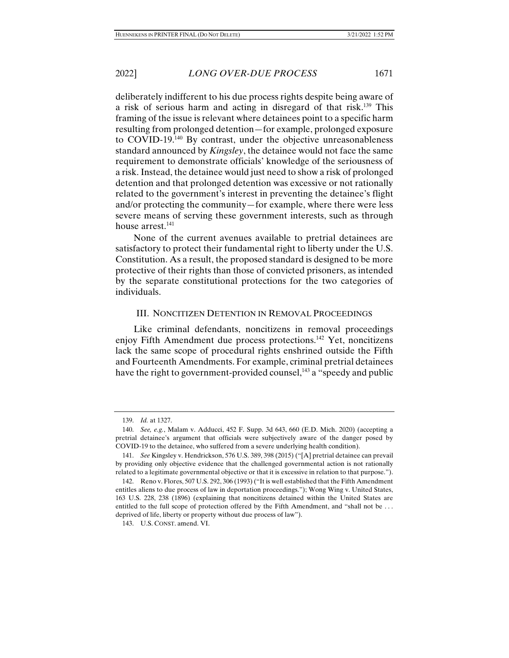deliberately indifferent to his due process rights despite being aware of a risk of serious harm and acting in disregard of that risk.<sup>139</sup> This framing of the issue is relevant where detainees point to a specific harm resulting from prolonged detention—for example, prolonged exposure to COVID-19.140 By contrast, under the objective unreasonableness standard announced by *Kingsley*, the detainee would not face the same requirement to demonstrate officials' knowledge of the seriousness of a risk. Instead, the detainee would just need to show a risk of prolonged detention and that prolonged detention was excessive or not rationally related to the government's interest in preventing the detainee's flight and/or protecting the community—for example, where there were less severe means of serving these government interests, such as through house arrest.<sup>141</sup>

None of the current avenues available to pretrial detainees are satisfactory to protect their fundamental right to liberty under the U.S. Constitution. As a result, the proposed standard is designed to be more protective of their rights than those of convicted prisoners, as intended by the separate constitutional protections for the two categories of individuals.

#### III. NONCITIZEN DETENTION IN REMOVAL PROCEEDINGS

Like criminal defendants, noncitizens in removal proceedings enjoy Fifth Amendment due process protections.142 Yet, noncitizens lack the same scope of procedural rights enshrined outside the Fifth and Fourteenth Amendments. For example, criminal pretrial detainees have the right to government-provided counsel,<sup>143</sup> a "speedy and public

 <sup>139.</sup> *Id.* at 1327.

 <sup>140.</sup> *See, e.g.*, Malam v. Adducci, 452 F. Supp. 3d 643, 660 (E.D. Mich. 2020) (accepting a pretrial detainee's argument that officials were subjectively aware of the danger posed by COVID-19 to the detainee, who suffered from a severe underlying health condition).

 <sup>141.</sup> *See* Kingsley v. Hendrickson, 576 U.S. 389, 398 (2015) ("[A] pretrial detainee can prevail by providing only objective evidence that the challenged governmental action is not rationally related to a legitimate governmental objective or that it is excessive in relation to that purpose.").

 <sup>142.</sup> Reno v. Flores, 507 U.S. 292, 306 (1993) ("It is well established that the Fifth Amendment entitles aliens to due process of law in deportation proceedings."); Wong Wing v. United States, 163 U.S. 228, 238 (1896) (explaining that noncitizens detained within the United States are entitled to the full scope of protection offered by the Fifth Amendment, and "shall not be . . . deprived of life, liberty or property without due process of law").

 <sup>143.</sup> U.S. CONST. amend. VI.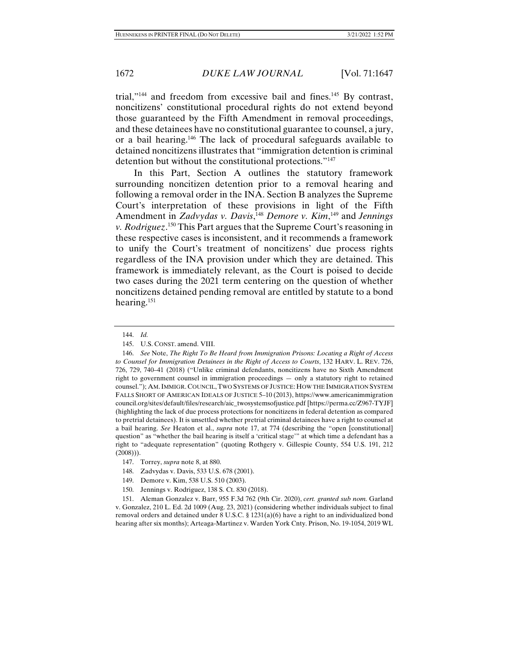trial,"<sup>144</sup> and freedom from excessive bail and fines.<sup>145</sup> By contrast, noncitizens' constitutional procedural rights do not extend beyond those guaranteed by the Fifth Amendment in removal proceedings, and these detainees have no constitutional guarantee to counsel, a jury, or a bail hearing.146 The lack of procedural safeguards available to detained noncitizens illustrates that "immigration detention is criminal detention but without the constitutional protections."147

In this Part, Section A outlines the statutory framework surrounding noncitizen detention prior to a removal hearing and following a removal order in the INA. Section B analyzes the Supreme Court's interpretation of these provisions in light of the Fifth Amendment in *Zadvydas v. Davis*,<sup>148</sup> Demore v. Kim,<sup>149</sup> and Jennings *v. Rodriguez*. 150 This Part argues that the Supreme Court's reasoning in these respective cases is inconsistent, and it recommends a framework to unify the Court's treatment of noncitizens' due process rights regardless of the INA provision under which they are detained. This framework is immediately relevant, as the Court is poised to decide two cases during the 2021 term centering on the question of whether noncitizens detained pending removal are entitled by statute to a bond hearing.151

 151. Aleman Gonzalez v. Barr, 955 F.3d 762 (9th Cir. 2020), *cert. granted sub nom.* Garland v. Gonzalez, 210 L. Ed. 2d 1009 (Aug. 23, 2021) (considering whether individuals subject to final removal orders and detained under 8 U.S.C. § 1231(a)(6) have a right to an individualized bond hearing after six months); Arteaga-Martinez v. Warden York Cnty. Prison, No. 19-1054, 2019 WL

 <sup>144.</sup> *Id.* 

 <sup>145.</sup> U.S. CONST. amend. VIII.

 <sup>146.</sup> *See* Note, *The Right To Be Heard from Immigration Prisons: Locating a Right of Access to Counsel for Immigration Detainees in the Right of Access to Courts*, 132 HARV. L. REV. 726, 726, 729, 740–41 (2018) ("Unlike criminal defendants, noncitizens have no Sixth Amendment right to government counsel in immigration proceedings — only a statutory right to retained counsel."); AM.IMMIGR. COUNCIL,TWO SYSTEMS OF JUSTICE: HOW THE IMMIGRATION SYSTEM FALLS SHORT OF AMERICAN IDEALS OF JUSTICE 5–10 (2013), https://www.americanimmigration council.org/sites/default/files/research/aic\_twosystemsofjustice.pdf [https://perma.cc/Z967-TYJF] (highlighting the lack of due process protections for noncitizens in federal detention as compared to pretrial detainees). It is unsettled whether pretrial criminal detainees have a right to counsel at a bail hearing. *See* Heaton et al., *supra* note 17, at 774 (describing the "open [constitutional] question" as "whether the bail hearing is itself a 'critical stage'" at which time a defendant has a right to "adequate representation" (quoting Rothgery v. Gillespie County, 554 U.S. 191, 212  $(2008))$ .

 <sup>147.</sup> Torrey, *supra* note 8, at 880.

 <sup>148.</sup> Zadvydas v. Davis, 533 U.S. 678 (2001).

 <sup>149.</sup> Demore v. Kim, 538 U.S. 510 (2003).

 <sup>150.</sup> Jennings v. Rodriguez, 138 S. Ct. 830 (2018).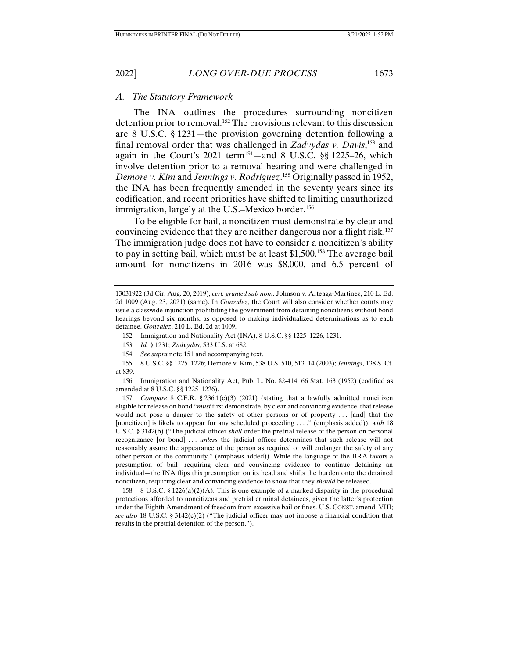#### *A. The Statutory Framework*

The INA outlines the procedures surrounding noncitizen detention prior to removal.152 The provisions relevant to this discussion are 8 U.S.C. § 1231—the provision governing detention following a final removal order that was challenged in *Zadvydas v. Davis*, 153 and again in the Court's 2021 term154—and 8 U.S.C. §§ 1225–26, which involve detention prior to a removal hearing and were challenged in *Demore v. Kim* and *Jennings v. Rodriguez*. 155 Originally passed in 1952, the INA has been frequently amended in the seventy years since its codification, and recent priorities have shifted to limiting unauthorized immigration, largely at the U.S.–Mexico border.<sup>156</sup>

To be eligible for bail, a noncitizen must demonstrate by clear and convincing evidence that they are neither dangerous nor a flight risk.157 The immigration judge does not have to consider a noncitizen's ability to pay in setting bail, which must be at least \$1,500.<sup>158</sup> The average bail amount for noncitizens in 2016 was \$8,000, and 6.5 percent of

<sup>13031922 (3</sup>d Cir. Aug. 20, 2019), *cert. granted sub nom.* Johnson v. Arteaga-Martinez, 210 L. Ed. 2d 1009 (Aug. 23, 2021) (same). In *Gonzalez*, the Court will also consider whether courts may issue a classwide injunction prohibiting the government from detaining noncitizens without bond hearings beyond six months, as opposed to making individualized determinations as to each detainee. *Gonzalez*, 210 L. Ed. 2d at 1009.

 <sup>152.</sup> Immigration and Nationality Act (INA), 8 U.S.C. §§ 1225–1226, 1231.

 <sup>153.</sup> *Id.* § 1231; *Zadvydas*, 533 U.S. at 682.

 <sup>154.</sup> *See supra* note 151 and accompanying text.

 <sup>155. 8</sup> U.S.C. §§ 1225–1226; Demore v. Kim, 538 U.S. 510, 513–14 (2003); *Jennings*, 138 S. Ct. at 839.

 <sup>156.</sup> Immigration and Nationality Act, Pub. L. No. 82-414, 66 Stat. 163 (1952) (codified as amended at 8 U.S.C. §§ 1225–1226).

 <sup>157.</sup> *Compare* 8 C.F.R. § 236.1(c)(3) (2021) (stating that a lawfully admitted noncitizen eligible for release on bond "*must* first demonstrate, by clear and convincing evidence, that release would not pose a danger to the safety of other persons or of property ... [and] that the [noncitizen] is likely to appear for any scheduled proceeding . . . ." (emphasis added)), *with* 18 U.S.C. § 3142(b) ("The judicial officer *shall* order the pretrial release of the person on personal recognizance [or bond] . . . *unless* the judicial officer determines that such release will not reasonably assure the appearance of the person as required or will endanger the safety of any other person or the community." (emphasis added)). While the language of the BRA favors a presumption of bail—requiring clear and convincing evidence to continue detaining an individual—the INA flips this presumption on its head and shifts the burden onto the detained noncitizen, requiring clear and convincing evidence to show that they *should* be released.

<sup>158. 8</sup> U.S.C. § 1226(a)(2)(A). This is one example of a marked disparity in the procedural protections afforded to noncitizens and pretrial criminal detainees, given the latter's protection under the Eighth Amendment of freedom from excessive bail or fines. U.S. CONST. amend. VIII; *see also* 18 U.S.C. § 3142(c)(2) ("The judicial officer may not impose a financial condition that results in the pretrial detention of the person.").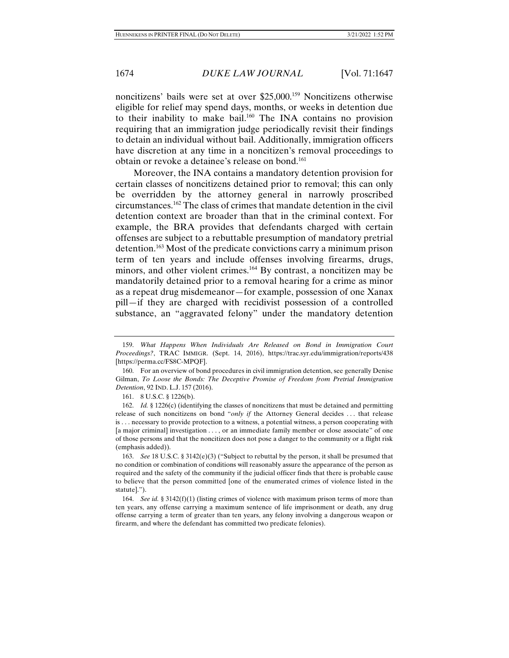noncitizens' bails were set at over \$25,000.159 Noncitizens otherwise eligible for relief may spend days, months, or weeks in detention due to their inability to make bail.160 The INA contains no provision requiring that an immigration judge periodically revisit their findings to detain an individual without bail. Additionally, immigration officers have discretion at any time in a noncitizen's removal proceedings to obtain or revoke a detainee's release on bond.<sup>161</sup>

Moreover, the INA contains a mandatory detention provision for certain classes of noncitizens detained prior to removal; this can only be overridden by the attorney general in narrowly proscribed circumstances.162 The class of crimes that mandate detention in the civil detention context are broader than that in the criminal context. For example, the BRA provides that defendants charged with certain offenses are subject to a rebuttable presumption of mandatory pretrial detention.163 Most of the predicate convictions carry a minimum prison term of ten years and include offenses involving firearms, drugs, minors, and other violent crimes.164 By contrast, a noncitizen may be mandatorily detained prior to a removal hearing for a crime as minor as a repeat drug misdemeanor—for example, possession of one Xanax pill—if they are charged with recidivist possession of a controlled substance, an "aggravated felony" under the mandatory detention

 <sup>159.</sup> *What Happens When Individuals Are Released on Bond in Immigration Court Proceedings?*, TRAC IMMIGR. (Sept. 14, 2016), https://trac.syr.edu/immigration/reports/438 [https://perma.cc/FS8C-MPQF].

 <sup>160.</sup> For an overview of bond procedures in civil immigration detention, see generally Denise Gilman, *To Loose the Bonds: The Deceptive Promise of Freedom from Pretrial Immigration Detention*, 92 IND. L.J. 157 (2016).

 <sup>161. 8</sup> U.S.C. § 1226(b).

 <sup>162.</sup> *Id.* § 1226(c) (identifying the classes of noncitizens that must be detained and permitting release of such noncitizens on bond "*only if* the Attorney General decides . . . that release is . . . necessary to provide protection to a witness, a potential witness, a person cooperating with [a major criminal] investigation . . . , or an immediate family member or close associate" of one of those persons and that the noncitizen does not pose a danger to the community or a flight risk (emphasis added)).

 <sup>163.</sup> *See* 18 U.S.C. § 3142(e)(3) ("Subject to rebuttal by the person, it shall be presumed that no condition or combination of conditions will reasonably assure the appearance of the person as required and the safety of the community if the judicial officer finds that there is probable cause to believe that the person committed [one of the enumerated crimes of violence listed in the statute].").

 <sup>164.</sup> *See id.* § 3142(f)(1) (listing crimes of violence with maximum prison terms of more than ten years, any offense carrying a maximum sentence of life imprisonment or death, any drug offense carrying a term of greater than ten years, any felony involving a dangerous weapon or firearm, and where the defendant has committed two predicate felonies).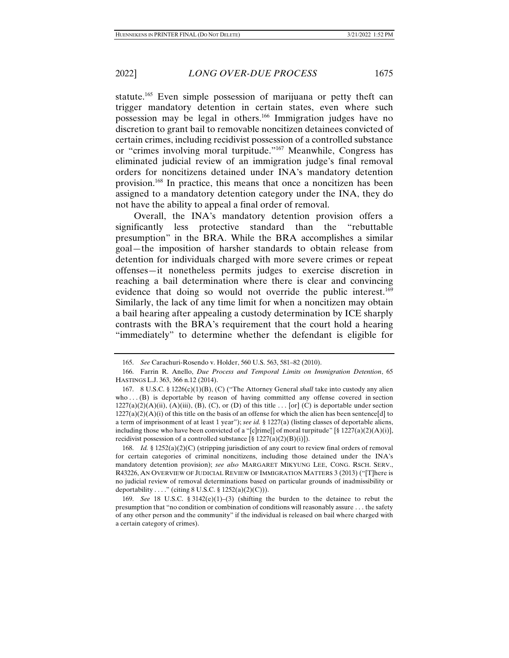statute.<sup>165</sup> Even simple possession of marijuana or petty theft can trigger mandatory detention in certain states, even where such possession may be legal in others.166 Immigration judges have no discretion to grant bail to removable noncitizen detainees convicted of certain crimes, including recidivist possession of a controlled substance or "crimes involving moral turpitude."167 Meanwhile, Congress has eliminated judicial review of an immigration judge's final removal orders for noncitizens detained under INA's mandatory detention provision.168 In practice, this means that once a noncitizen has been assigned to a mandatory detention category under the INA, they do not have the ability to appeal a final order of removal.

Overall, the INA's mandatory detention provision offers a significantly less protective standard than the "rebuttable presumption" in the BRA. While the BRA accomplishes a similar goal—the imposition of harsher standards to obtain release from detention for individuals charged with more severe crimes or repeat offenses—it nonetheless permits judges to exercise discretion in reaching a bail determination where there is clear and convincing evidence that doing so would not override the public interest.<sup>169</sup> Similarly, the lack of any time limit for when a noncitizen may obtain a bail hearing after appealing a custody determination by ICE sharply contrasts with the BRA's requirement that the court hold a hearing "immediately" to determine whether the defendant is eligible for

 168. *Id.* § 1252(a)(2)(C) (stripping jurisdiction of any court to review final orders of removal for certain categories of criminal noncitizens, including those detained under the INA's mandatory detention provision); *see also* MARGARET MIKYUNG LEE, CONG. RSCH. SERV., R43226, AN OVERVIEW OF JUDICIAL REVIEW OF IMMIGRATION MATTERS 3 (2013) ("[T]here is no judicial review of removal determinations based on particular grounds of inadmissibility or deportability . . . ." (citing  $8 \text{ U.S.C.} \$   $1252(a)(2)(C))$ ).

 <sup>165.</sup> *See* Carachuri-Rosendo v. Holder, 560 U.S. 563, 581–82 (2010).

 <sup>166.</sup> Farrin R. Anello, *Due Process and Temporal Limits on Immigration Detention*, 65 HASTINGS L.J. 363, 366 n.12 (2014).

 <sup>167. 8</sup> U.S.C. § 1226(c)(1)(B), (C) ("The Attorney General *shall* take into custody any alien who  $\dots$  (B) is deportable by reason of having committed any offense covered in section  $1227(a)(2)(A)(ii)$ ,  $(A)(iii)$ ,  $(B)$ ,  $(C)$ , or  $(D)$  of this title ... [or]  $(C)$  is deportable under section  $1227(a)(2)(A)(i)$  of this title on the basis of an offense for which the alien has been sentence[d] to a term of imprisonment of at least 1 year"); *see id.* § 1227(a) (listing classes of deportable aliens, including those who have been convicted of a "[c]rime[] of moral turpitude" [§ 1227(a)(2)(A)(i)], recidivist possession of a controlled substance  $[\S 1227(a)(2)(B)(i)]$ .

<sup>169.</sup> *See* 18 U.S.C. § 3142 $(e)(1)$ –(3) (shifting the burden to the detainee to rebut the presumption that "no condition or combination of conditions will reasonably assure . . . the safety of any other person and the community" if the individual is released on bail where charged with a certain category of crimes).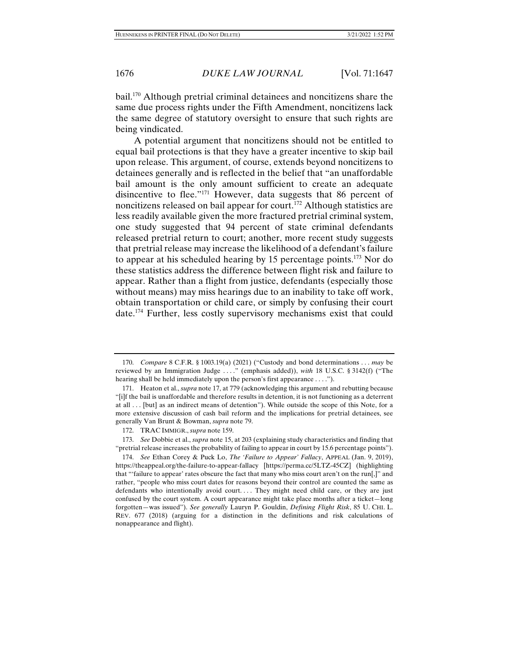bail.170 Although pretrial criminal detainees and noncitizens share the same due process rights under the Fifth Amendment, noncitizens lack the same degree of statutory oversight to ensure that such rights are being vindicated.

A potential argument that noncitizens should not be entitled to equal bail protections is that they have a greater incentive to skip bail upon release. This argument, of course, extends beyond noncitizens to detainees generally and is reflected in the belief that "an unaffordable bail amount is the only amount sufficient to create an adequate disincentive to flee."171 However, data suggests that 86 percent of noncitizens released on bail appear for court.172 Although statistics are less readily available given the more fractured pretrial criminal system, one study suggested that 94 percent of state criminal defendants released pretrial return to court; another, more recent study suggests that pretrial release may increase the likelihood of a defendant's failure to appear at his scheduled hearing by 15 percentage points.173 Nor do these statistics address the difference between flight risk and failure to appear. Rather than a flight from justice, defendants (especially those without means) may miss hearings due to an inability to take off work, obtain transportation or child care, or simply by confusing their court date.174 Further, less costly supervisory mechanisms exist that could

 <sup>170.</sup> *Compare* 8 C.F.R. § 1003.19(a) (2021) ("Custody and bond determinations . . . *may* be reviewed by an Immigration Judge . . . ." (emphasis added)), *with* 18 U.S.C. § 3142(f) ("The hearing shall be held immediately upon the person's first appearance . . . .").

 <sup>171.</sup> Heaton et al., *supra* note 17, at 779 (acknowledging this argument and rebutting because "[i]f the bail is unaffordable and therefore results in detention, it is not functioning as a deterrent at all . . . [but] as an indirect means of detention"). While outside the scope of this Note, for a more extensive discussion of cash bail reform and the implications for pretrial detainees, see generally Van Brunt & Bowman, *supra* note 79.

 <sup>172.</sup> TRAC IMMIGR., *supra* note 159.

 <sup>173.</sup> *See* Dobbie et al., *supra* note 15, at 203 (explaining study characteristics and finding that "pretrial release increases the probability of failing to appear in court by 15.6 percentage points").

 <sup>174.</sup> *See* Ethan Corey & Puck Lo, *The 'Failure to Appear' Fallacy*, APPEAL (Jan. 9, 2019), https://theappeal.org/the-failure-to-appear-fallacy [https://perma.cc/5LTZ-45CZ] (highlighting that "'failure to appear' rates obscure the fact that many who miss court aren't on the run[,]" and rather, "people who miss court dates for reasons beyond their control are counted the same as defendants who intentionally avoid court. . . . They might need child care, or they are just confused by the court system. A court appearance might take place months after a ticket—long forgotten—was issued"). *See generally* Lauryn P. Gouldin, *Defining Flight Risk*, 85 U. CHI. L. REV. 677 (2018) (arguing for a distinction in the definitions and risk calculations of nonappearance and flight).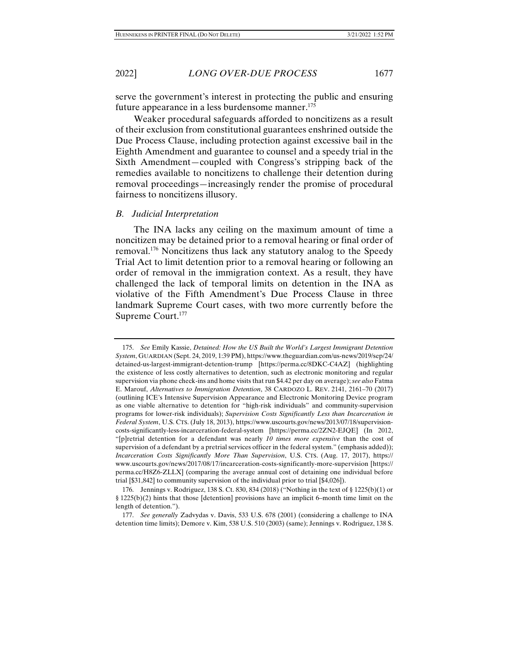serve the government's interest in protecting the public and ensuring future appearance in a less burdensome manner.<sup>175</sup>

Weaker procedural safeguards afforded to noncitizens as a result of their exclusion from constitutional guarantees enshrined outside the Due Process Clause, including protection against excessive bail in the Eighth Amendment and guarantee to counsel and a speedy trial in the Sixth Amendment—coupled with Congress's stripping back of the remedies available to noncitizens to challenge their detention during removal proceedings—increasingly render the promise of procedural fairness to noncitizens illusory.

#### *B. Judicial Interpretation*

The INA lacks any ceiling on the maximum amount of time a noncitizen may be detained prior to a removal hearing or final order of removal.176 Noncitizens thus lack any statutory analog to the Speedy Trial Act to limit detention prior to a removal hearing or following an order of removal in the immigration context. As a result, they have challenged the lack of temporal limits on detention in the INA as violative of the Fifth Amendment's Due Process Clause in three landmark Supreme Court cases, with two more currently before the Supreme Court.177

 <sup>175.</sup> *See* Emily Kassie, *Detained: How the US Built the World's Largest Immigrant Detention System*, GUARDIAN (Sept. 24, 2019, 1:39 PM), https://www.theguardian.com/us-news/2019/sep/24/ detained-us-largest-immigrant-detention-trump [https://perma.cc/8DKC-C4AZ] (highlighting the existence of less costly alternatives to detention, such as electronic monitoring and regular supervision via phone check-ins and home visits that run \$4.42 per day on average); *see also* Fatma E. Marouf, *Alternatives to Immigration Detention*, 38 CARDOZO L. REV. 2141, 2161–70 (2017) (outlining ICE's Intensive Supervision Appearance and Electronic Monitoring Device program as one viable alternative to detention for "high-risk individuals" and community-supervision programs for lower-risk individuals); *Supervision Costs Significantly Less than Incarceration in Federal System*, U.S. CTS. (July 18, 2013), https://www.uscourts.gov/news/2013/07/18/supervisioncosts-significantly-less-incarceration-federal-system [https://perma.cc/2ZN2-EJQE] (In 2012, "[p]retrial detention for a defendant was nearly *10 times more expensive* than the cost of supervision of a defendant by a pretrial services officer in the federal system." (emphasis added)); *Incarceration Costs Significantly More Than Supervision*, U.S. CTS. (Aug. 17, 2017), https:// www.uscourts.gov/news/2017/08/17/incarceration-costs-significantly-more-supervision [https:// perma.cc/H8Z6-ZLLX] (comparing the average annual cost of detaining one individual before trial [\$31,842] to community supervision of the individual prior to trial [\$4,026]).

 <sup>176.</sup> Jennings v. Rodriguez, 138 S. Ct. 830, 834 (2018) ("Nothing in the text of § 1225(b)(1) or § 1225(b)(2) hints that those [detention] provisions have an implicit 6–month time limit on the length of detention.").

 <sup>177.</sup> *See generally* Zadvydas v. Davis, 533 U.S. 678 (2001) (considering a challenge to INA detention time limits); Demore v. Kim, 538 U.S. 510 (2003) (same); Jennings v. Rodriguez, 138 S.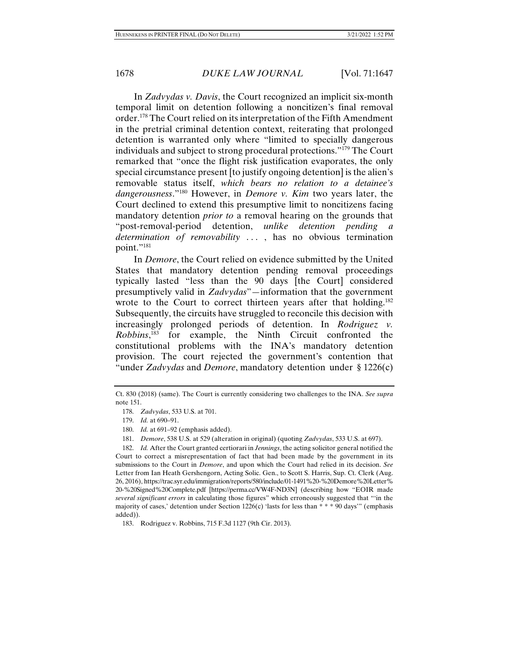In *Zadvydas v. Davis*, the Court recognized an implicit six-month temporal limit on detention following a noncitizen's final removal order.178 The Court relied on its interpretation of the Fifth Amendment in the pretrial criminal detention context, reiterating that prolonged detention is warranted only where "limited to specially dangerous individuals and subject to strong procedural protections."179 The Court remarked that "once the flight risk justification evaporates, the only special circumstance present [to justify ongoing detention] is the alien's removable status itself, *which bears no relation to a detainee's dangerousness*."180 However, in *Demore v. Kim* two years later, the Court declined to extend this presumptive limit to noncitizens facing mandatory detention *prior to* a removal hearing on the grounds that "post-removal-period detention, *unlike detention pending a determination of removability* . . . , has no obvious termination point."<sup>181</sup>

In *Demore*, the Court relied on evidence submitted by the United States that mandatory detention pending removal proceedings typically lasted "less than the 90 days [the Court] considered presumptively valid in *Zadvydas*"—information that the government wrote to the Court to correct thirteen years after that holding.<sup>182</sup> Subsequently, the circuits have struggled to reconcile this decision with increasingly prolonged periods of detention. In *Rodriguez v. Robbins*, 183 for example, the Ninth Circuit confronted the constitutional problems with the INA's mandatory detention provision. The court rejected the government's contention that "under *Zadvydas* and *Demore*, mandatory detention under § 1226(c)

Ct. 830 (2018) (same). The Court is currently considering two challenges to the INA. *See supra*  note 151.

 <sup>178.</sup> *Zadvydas*, 533 U.S. at 701.

 <sup>179.</sup> *Id.* at 690–91.

 <sup>180.</sup> *Id.* at 691–92 (emphasis added).

 <sup>181.</sup> *Demore*, 538 U.S. at 529 (alteration in original) (quoting *Zadvydas*, 533 U.S. at 697).

 <sup>182.</sup> *Id.* After the Court granted certiorari in *Jennings*, the acting solicitor general notified the Court to correct a misrepresentation of fact that had been made by the government in its submissions to the Court in *Demore*, and upon which the Court had relied in its decision. *See*  Letter from Ian Heath Gershengorn, Acting Solic. Gen., to Scott S. Harris, Sup. Ct. Clerk (Aug. 26, 2016), https://trac.syr.edu/immigration/reports/580/include/01-1491%20-%20Demore%20Letter% 20-%20Signed%20Complete.pdf [https://perma.cc/VW4F-ND3N] (describing how "EOIR made *several significant errors* in calculating those figures" which erroneously suggested that "'in the majority of cases,' detention under Section 1226(c) 'lasts for less than \* \* \* 90 days'" (emphasis added)).

 <sup>183.</sup> Rodriguez v. Robbins, 715 F.3d 1127 (9th Cir. 2013).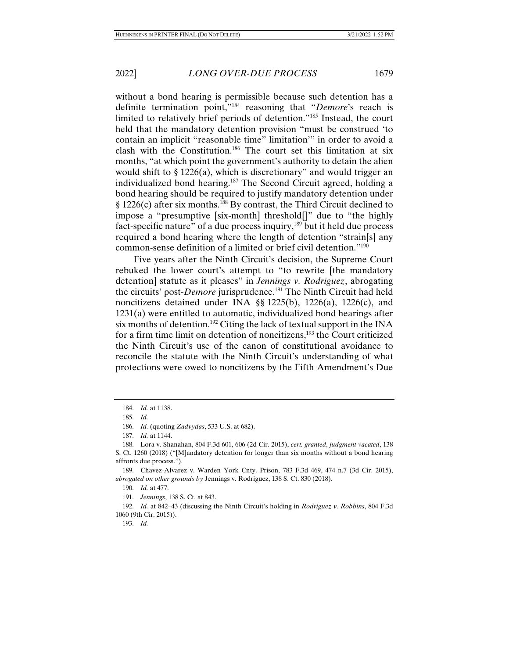without a bond hearing is permissible because such detention has a definite termination point,"184 reasoning that "*Demore*'s reach is limited to relatively brief periods of detention."185 Instead, the court held that the mandatory detention provision "must be construed 'to contain an implicit "reasonable time" limitation'" in order to avoid a clash with the Constitution.186 The court set this limitation at six months, "at which point the government's authority to detain the alien would shift to § 1226(a), which is discretionary" and would trigger an individualized bond hearing.<sup>187</sup> The Second Circuit agreed, holding a bond hearing should be required to justify mandatory detention under § 1226(c) after six months.188 By contrast, the Third Circuit declined to impose a "presumptive [six-month] threshold[]" due to "the highly fact-specific nature" of a due process inquiry,<sup>189</sup> but it held due process required a bond hearing where the length of detention "strain[s] any common-sense definition of a limited or brief civil detention."190

Five years after the Ninth Circuit's decision, the Supreme Court rebuked the lower court's attempt to "to rewrite [the mandatory detention] statute as it pleases" in *Jennings v. Rodriguez*, abrogating the circuits' post-*Demore* jurisprudence.<sup>191</sup> The Ninth Circuit had held noncitizens detained under INA §§ 1225(b), 1226(a), 1226(c), and 1231(a) were entitled to automatic, individualized bond hearings after six months of detention.<sup>192</sup> Citing the lack of textual support in the INA for a firm time limit on detention of noncitizens,193 the Court criticized the Ninth Circuit's use of the canon of constitutional avoidance to reconcile the statute with the Ninth Circuit's understanding of what protections were owed to noncitizens by the Fifth Amendment's Due

191. *Jennings*, 138 S. Ct. at 843.

 192. *Id.* at 842–43 (discussing the Ninth Circuit's holding in *Rodriguez v. Robbins*, 804 F.3d 1060 (9th Cir. 2015)).

193. *Id.*

 <sup>184.</sup> *Id.* at 1138.

 <sup>185.</sup> *Id.* 

 <sup>186.</sup> *Id.* (quoting *Zadvydas*, 533 U.S. at 682).

 <sup>187.</sup> *Id.* at 1144.

 <sup>188.</sup> Lora v. Shanahan, 804 F.3d 601, 606 (2d Cir. 2015), *cert. granted*, *judgment vacated*, 138 S. Ct. 1260 (2018) ("[M]andatory detention for longer than six months without a bond hearing affronts due process.").

 <sup>189.</sup> Chavez-Alvarez v. Warden York Cnty. Prison, 783 F.3d 469, 474 n.7 (3d Cir. 2015), *abrogated on other grounds by* Jennings v. Rodriguez, 138 S. Ct. 830 (2018).

 <sup>190.</sup> *Id.* at 477.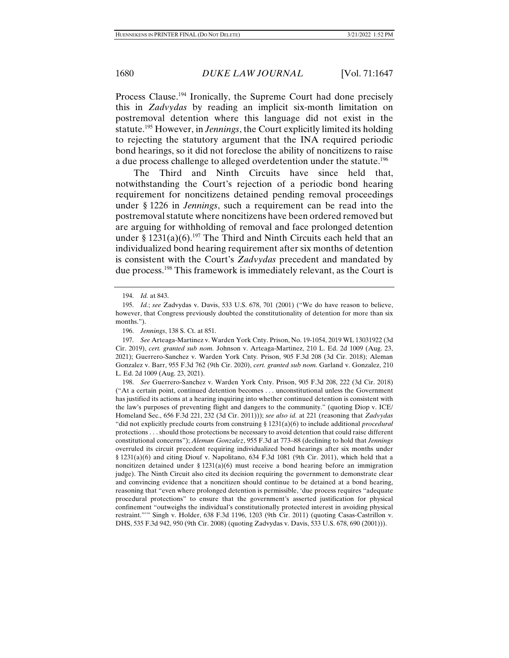Process Clause.<sup>194</sup> Ironically, the Supreme Court had done precisely this in *Zadvydas* by reading an implicit six-month limitation on postremoval detention where this language did not exist in the statute.195 However, in *Jennings*, the Court explicitly limited its holding to rejecting the statutory argument that the INA required periodic bond hearings, so it did not foreclose the ability of noncitizens to raise a due process challenge to alleged overdetention under the statute.196

The Third and Ninth Circuits have since held that, notwithstanding the Court's rejection of a periodic bond hearing requirement for noncitizens detained pending removal proceedings under § 1226 in *Jennings*, such a requirement can be read into the postremoval statute where noncitizens have been ordered removed but are arguing for withholding of removal and face prolonged detention under §  $1231(a)(6)$ .<sup>197</sup> The Third and Ninth Circuits each held that an individualized bond hearing requirement after six months of detention is consistent with the Court's *Zadvydas* precedent and mandated by due process.198 This framework is immediately relevant, as the Court is

 <sup>194.</sup> *Id.* at 843.

 <sup>195.</sup> *Id.*; *see* Zadvydas v. Davis, 533 U.S. 678, 701 (2001) ("We do have reason to believe, however, that Congress previously doubted the constitutionality of detention for more than six months.").

 <sup>196.</sup> *Jennings*, 138 S. Ct. at 851.

 <sup>197.</sup> *See* Arteaga-Martinez v. Warden York Cnty. Prison, No. 19-1054, 2019 WL 13031922 (3d Cir. 2019), *cert. granted sub nom.* Johnson v. Arteaga-Martinez, 210 L. Ed. 2d 1009 (Aug. 23, 2021); Guerrero-Sanchez v. Warden York Cnty*.* Prison, 905 F.3d 208 (3d Cir. 2018); Aleman Gonzalez v. Barr, 955 F.3d 762 (9th Cir. 2020), *cert. granted sub nom.* Garland v. Gonzalez, 210 L. Ed. 2d 1009 (Aug. 23, 2021).

 <sup>198.</sup> *See* Guerrero-Sanchez v. Warden York Cnty. Prison, 905 F.3d 208, 222 (3d Cir. 2018) ("At a certain point, continued detention becomes . . . unconstitutional unless the Government has justified its actions at a hearing inquiring into whether continued detention is consistent with the law's purposes of preventing flight and dangers to the community." (quoting Diop v. ICE/ Homeland Sec., 656 F.3d 221, 232 (3d Cir. 2011))); *see also id.* at 221 (reasoning that *Zadvydas*  "did not explicitly preclude courts from construing § 1231(a)(6) to include additional *procedural*  protections . . . should those protections be necessary to avoid detention that could raise different constitutional concerns"); *Aleman Gonzalez*, 955 F.3d at 773–88 (declining to hold that *Jennings*  overruled its circuit precedent requiring individualized bond hearings after six months under § 1231(a)(6) and citing Diouf v. Napolitano, 634 F.3d 1081 (9th Cir. 2011), which held that a noncitizen detained under  $\S 1231(a)(6)$  must receive a bond hearing before an immigration judge). The Ninth Circuit also cited its decision requiring the government to demonstrate clear and convincing evidence that a noncitizen should continue to be detained at a bond hearing, reasoning that "even where prolonged detention is permissible, 'due process requires "adequate procedural protections" to ensure that the government's asserted justification for physical confinement "outweighs the individual's constitutionally protected interest in avoiding physical restraint."'" Singh v. Holder, 638 F.3d 1196, 1203 (9th Cir. 2011) (quoting Casas-Castrillon v. DHS, 535 F.3d 942, 950 (9th Cir. 2008) (quoting Zadvydas v. Davis, 533 U.S. 678, 690 (2001))).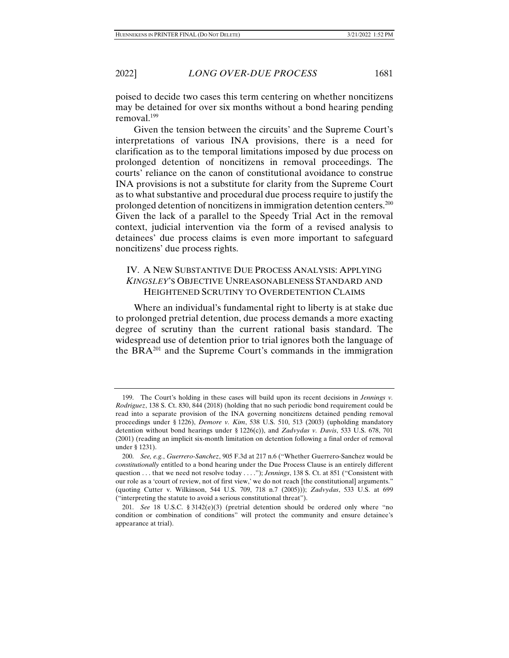poised to decide two cases this term centering on whether noncitizens may be detained for over six months without a bond hearing pending removal.199

Given the tension between the circuits' and the Supreme Court's interpretations of various INA provisions, there is a need for clarification as to the temporal limitations imposed by due process on prolonged detention of noncitizens in removal proceedings. The courts' reliance on the canon of constitutional avoidance to construe INA provisions is not a substitute for clarity from the Supreme Court as to what substantive and procedural due process require to justify the prolonged detention of noncitizens in immigration detention centers.200 Given the lack of a parallel to the Speedy Trial Act in the removal context, judicial intervention via the form of a revised analysis to detainees' due process claims is even more important to safeguard noncitizens' due process rights.

# IV. A NEW SUBSTANTIVE DUE PROCESS ANALYSIS: APPLYING *KINGSLEY*'S OBJECTIVE UNREASONABLENESS STANDARD AND HEIGHTENED SCRUTINY TO OVERDETENTION CLAIMS

Where an individual's fundamental right to liberty is at stake due to prolonged pretrial detention, due process demands a more exacting degree of scrutiny than the current rational basis standard. The widespread use of detention prior to trial ignores both the language of the BR $A^{201}$  and the Supreme Court's commands in the immigration

 <sup>199.</sup> The Court's holding in these cases will build upon its recent decisions in *Jennings v. Rodriguez*, 138 S. Ct. 830, 844 (2018) (holding that no such periodic bond requirement could be read into a separate provision of the INA governing noncitizens detained pending removal proceedings under § 1226), *Demore v. Kim*, 538 U.S. 510, 513 (2003) (upholding mandatory detention without bond hearings under § 1226(c)), and *Zadvydas v. Davis*, 533 U.S. 678, 701 (2001) (reading an implicit six-month limitation on detention following a final order of removal under § 1231).

 <sup>200.</sup> *See, e.g.*, *Guerrero-Sanchez*, 905 F.3d at 217 n.6 ("Whether Guerrero-Sanchez would be *constitutionally* entitled to a bond hearing under the Due Process Clause is an entirely different question . . . that we need not resolve today . . . ."); *Jennings*, 138 S. Ct. at 851 ("Consistent with our role as a 'court of review, not of first view,' we do not reach [the constitutional] arguments." (quoting Cutter v. Wilkinson, 544 U.S. 709, 718 n.7 (2005))); *Zadvydas*, 533 U.S. at 699 ("interpreting the statute to avoid a serious constitutional threat").

 <sup>201.</sup> *See* 18 U.S.C. § 3142(e)(3) (pretrial detention should be ordered only where "no condition or combination of conditions" will protect the community and ensure detainee's appearance at trial).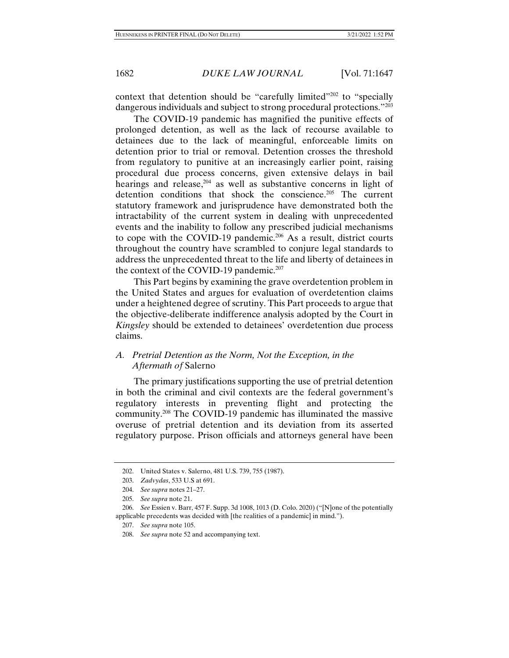context that detention should be "carefully limited"<sup>202</sup> to "specially dangerous individuals and subject to strong procedural protections."<sup>203</sup>

The COVID-19 pandemic has magnified the punitive effects of prolonged detention, as well as the lack of recourse available to detainees due to the lack of meaningful, enforceable limits on detention prior to trial or removal. Detention crosses the threshold from regulatory to punitive at an increasingly earlier point, raising procedural due process concerns, given extensive delays in bail hearings and release,  $204$  as well as substantive concerns in light of detention conditions that shock the conscience.<sup>205</sup> The current statutory framework and jurisprudence have demonstrated both the intractability of the current system in dealing with unprecedented events and the inability to follow any prescribed judicial mechanisms to cope with the COVID-19 pandemic.<sup>206</sup> As a result, district courts throughout the country have scrambled to conjure legal standards to address the unprecedented threat to the life and liberty of detainees in the context of the COVID-19 pandemic.<sup>207</sup>

This Part begins by examining the grave overdetention problem in the United States and argues for evaluation of overdetention claims under a heightened degree of scrutiny. This Part proceeds to argue that the objective-deliberate indifference analysis adopted by the Court in *Kingsley* should be extended to detainees' overdetention due process claims.

# *A. Pretrial Detention as the Norm, Not the Exception, in the Aftermath of* Salerno

The primary justifications supporting the use of pretrial detention in both the criminal and civil contexts are the federal government's regulatory interests in preventing flight and protecting the community.208 The COVID-19 pandemic has illuminated the massive overuse of pretrial detention and its deviation from its asserted regulatory purpose. Prison officials and attorneys general have been

 <sup>202.</sup> United States v. Salerno, 481 U.S. 739, 755 (1987).

 <sup>203.</sup> *Zadvydas*, 533 U.S at 691.

 <sup>204.</sup> *See supra* notes 21–27.

 <sup>205.</sup> *See supra* note 21.

 <sup>206.</sup> *See* Essien v. Barr, 457 F. Supp. 3d 1008, 1013 (D. Colo. 2020) ("[N]one of the potentially applicable precedents was decided with [the realities of a pandemic] in mind.").

 <sup>207.</sup> *See supra* note 105.

 <sup>208.</sup> *See supra* note 52 and accompanying text.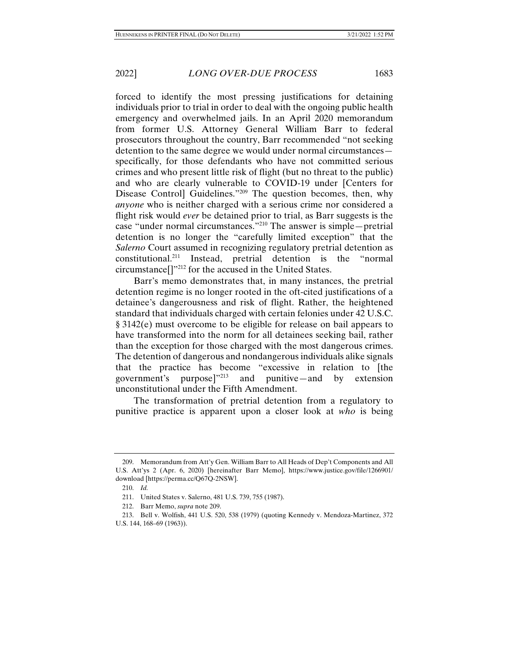forced to identify the most pressing justifications for detaining individuals prior to trial in order to deal with the ongoing public health emergency and overwhelmed jails. In an April 2020 memorandum from former U.S. Attorney General William Barr to federal prosecutors throughout the country, Barr recommended "not seeking detention to the same degree we would under normal circumstances specifically, for those defendants who have not committed serious crimes and who present little risk of flight (but no threat to the public) and who are clearly vulnerable to COVID-19 under [Centers for Disease Controll Guidelines."<sup>209</sup> The question becomes, then, why *anyone* who is neither charged with a serious crime nor considered a flight risk would *ever* be detained prior to trial, as Barr suggests is the case "under normal circumstances."210 The answer is simple—pretrial detention is no longer the "carefully limited exception" that the *Salerno* Court assumed in recognizing regulatory pretrial detention as constitutional.211 Instead, pretrial detention is the "normal circumstance[]"212 for the accused in the United States.

Barr's memo demonstrates that, in many instances, the pretrial detention regime is no longer rooted in the oft-cited justifications of a detainee's dangerousness and risk of flight. Rather, the heightened standard that individuals charged with certain felonies under 42 U.S.C. § 3142(e) must overcome to be eligible for release on bail appears to have transformed into the norm for all detainees seeking bail, rather than the exception for those charged with the most dangerous crimes. The detention of dangerous and nondangerous individuals alike signals that the practice has become "excessive in relation to [the government's purpose]"213 and punitive—and by extension unconstitutional under the Fifth Amendment.

The transformation of pretrial detention from a regulatory to punitive practice is apparent upon a closer look at *who* is being

 <sup>209.</sup> Memorandum from Att'y Gen. William Barr to All Heads of Dep't Components and All U.S. Att'ys 2 (Apr. 6, 2020) [hereinafter Barr Memo], https://www.justice.gov/file/1266901/ download [https://perma.cc/Q67Q-2NSW].

 <sup>210.</sup> *Id.* 

 <sup>211.</sup> United States v. Salerno, 481 U.S. 739, 755 (1987).

 <sup>212.</sup> Barr Memo, *supra* note 209.

 <sup>213.</sup> Bell v. Wolfish, 441 U.S. 520, 538 (1979) (quoting Kennedy v. Mendoza-Martinez, 372 U.S. 144, 168–69 (1963)).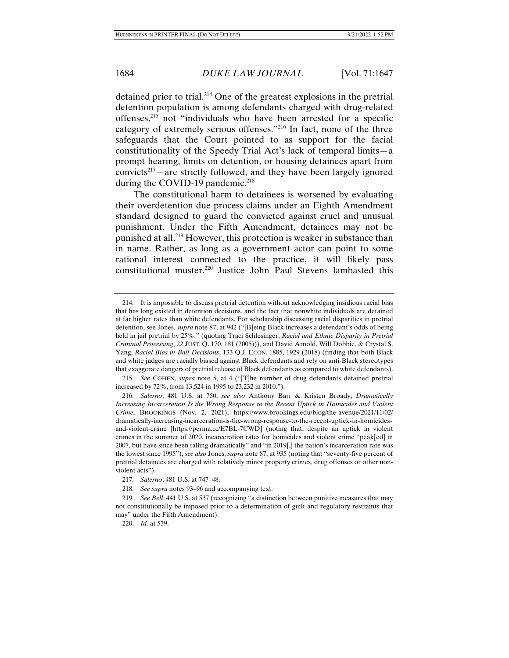detained prior to trial.214 One of the greatest explosions in the pretrial detention population is among defendants charged with drug-related offenses,215 not "individuals who have been arrested for a specific category of extremely serious offenses."216 In fact, none of the three safeguards that the Court pointed to as support for the facial constitutionality of the Speedy Trial Act's lack of temporal limits—a prompt hearing, limits on detention, or housing detainees apart from convicts<sup>217</sup>—are strictly followed, and they have been largely ignored during the COVID-19 pandemic.<sup>218</sup>

The constitutional harm to detainees is worsened by evaluating their overdetention due process claims under an Eighth Amendment standard designed to guard the convicted against cruel and unusual punishment. Under the Fifth Amendment, detainees may not be punished at all.219 However, this protection is weaker in substance than in name. Rather, as long as a government actor can point to some rational interest connected to the practice, it will likely pass constitutional muster.220 Justice John Paul Stevens lambasted this

 215. *See* COHEN, *supra* note 5, at 4 ("[T]he number of drug defendants detained pretrial increased by 72%, from 13,524 in 1995 to 23,232 in 2010.").

 <sup>214.</sup> It is impossible to discuss pretrial detention without acknowledging insidious racial bias that has long existed in detention decisions, and the fact that nonwhite individuals are detained at far higher rates than white defendants. For scholarship discussing racial disparities in pretrial detention, see Jones, *supra* note 87, at 942 ("[B]eing Black increases a defendant's odds of being held in jail pretrial by 25%." (quoting Traci Schlesinger, *Racial and Ethnic Disparity in Pretrial Criminal Processing*, 22 JUST. Q. 170, 181 (2005))), and David Arnold, Will Dobbie, & Crystal S. Yang, *Racial Bias in Bail Decisions*, 133 Q.J. ECON. 1885, 1929 (2018) (finding that both Black and white judges are racially biased against Black defendants and rely on anti-Black stereotypes that exaggerate dangers of pretrial release of Black defendants as compared to white defendants).

 <sup>216.</sup> *Salerno*, 481 U.S. at 750; *see also* Anthony Barr & Kristen Broady, *Dramatically Increasing Incarceration Is the Wrong Response to the Recent Uptick in Homicides and Violent Crime*, BROOKINGS (Nov. 2, 2021), https://www.brookings.edu/blog/the-avenue/2021/11/02/ dramatically-increasing-incarceration-is-the-wrong-response-to-the-recent-uptick-in-homicidesand-violent-crime [https://perma.cc/E7BL-7CWD] (noting that, despite an uptick in violent crimes in the summer of 2020, incarceration rates for homicides and violent crime "peak[ed] in 2007, but have since been falling dramatically" and "in 2019[,] the nation's incarceration rate was the lowest since 1995"); *see also* Jones, *supra* note 87, at 935 (noting that "seventy-five percent of pretrial detainees are charged with relatively minor property crimes, drug offenses or other nonviolent acts").

 <sup>217.</sup> *Salerno*, 481 U.S. at 747–48.

 <sup>218.</sup> *See supra* notes 93–96 and accompanying text.

 <sup>219.</sup> *See Bell*, 441 U.S. at 537 (recognizing "a distinction between punitive measures that may not constitutionally be imposed prior to a determination of guilt and regulatory restraints that may" under the Fifth Amendment).

 <sup>220.</sup> *Id.* at 539.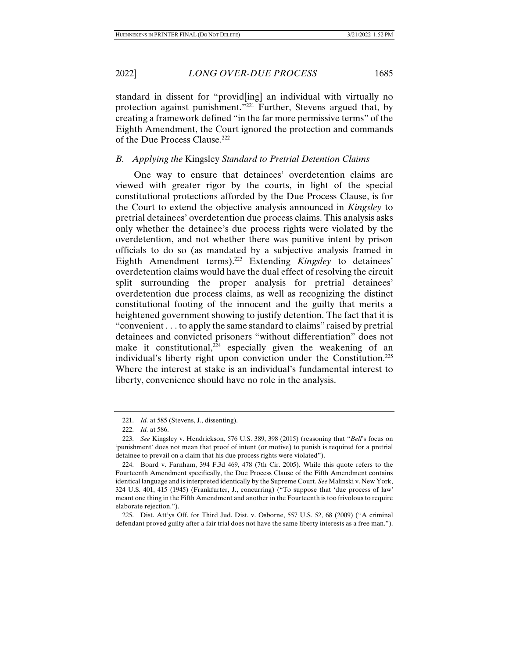standard in dissent for "provid[ing] an individual with virtually no protection against punishment."221 Further, Stevens argued that, by creating a framework defined "in the far more permissive terms" of the Eighth Amendment, the Court ignored the protection and commands of the Due Process Clause.222

## *B. Applying the* Kingsley *Standard to Pretrial Detention Claims*

One way to ensure that detainees' overdetention claims are viewed with greater rigor by the courts, in light of the special constitutional protections afforded by the Due Process Clause, is for the Court to extend the objective analysis announced in *Kingsley* to pretrial detainees' overdetention due process claims. This analysis asks only whether the detainee's due process rights were violated by the overdetention, and not whether there was punitive intent by prison officials to do so (as mandated by a subjective analysis framed in Eighth Amendment terms).<sup>223</sup> Extending *Kingsley* to detainees' overdetention claims would have the dual effect of resolving the circuit split surrounding the proper analysis for pretrial detainees' overdetention due process claims, as well as recognizing the distinct constitutional footing of the innocent and the guilty that merits a heightened government showing to justify detention. The fact that it is "convenient . . . to apply the same standard to claims" raised by pretrial detainees and convicted prisoners "without differentiation" does not make it constitutional, $224$  especially given the weakening of an individual's liberty right upon conviction under the Constitution.225 Where the interest at stake is an individual's fundamental interest to liberty, convenience should have no role in the analysis.

 <sup>221.</sup> *Id.* at 585 (Stevens, J., dissenting).

 <sup>222.</sup> *Id.* at 586.

 <sup>223.</sup> *See* Kingsley v. Hendrickson, 576 U.S. 389, 398 (2015) (reasoning that "*Bell*'s focus on 'punishment' does not mean that proof of intent (or motive) to punish is required for a pretrial detainee to prevail on a claim that his due process rights were violated").

 <sup>224.</sup> Board v. Farnham, 394 F.3d 469, 478 (7th Cir. 2005). While this quote refers to the Fourteenth Amendment specifically, the Due Process Clause of the Fifth Amendment contains identical language and is interpreted identically by the Supreme Court. *See* Malinski v. New York, 324 U.S. 401, 415 (1945) (Frankfurter, J., concurring) ("To suppose that 'due process of law' meant one thing in the Fifth Amendment and another in the Fourteenth is too frivolous to require elaborate rejection.").

 <sup>225.</sup> Dist. Att'ys Off. for Third Jud. Dist. v. Osborne, 557 U.S. 52, 68 (2009) ("A criminal defendant proved guilty after a fair trial does not have the same liberty interests as a free man.").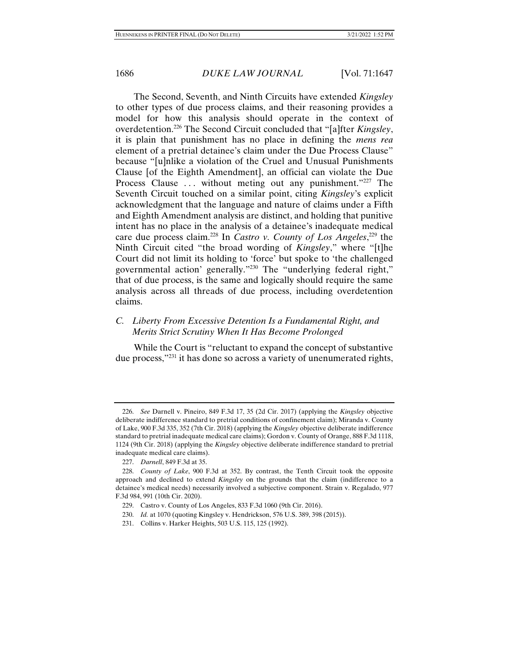The Second, Seventh, and Ninth Circuits have extended *Kingsley*  to other types of due process claims, and their reasoning provides a model for how this analysis should operate in the context of overdetention.226 The Second Circuit concluded that "[a]fter *Kingsley*, it is plain that punishment has no place in defining the *mens rea*  element of a pretrial detainee's claim under the Due Process Clause" because "[u]nlike a violation of the Cruel and Unusual Punishments Clause [of the Eighth Amendment], an official can violate the Due Process Clause ... without meting out any punishment."227 The Seventh Circuit touched on a similar point, citing *Kingsley*'s explicit acknowledgment that the language and nature of claims under a Fifth and Eighth Amendment analysis are distinct, and holding that punitive intent has no place in the analysis of a detainee's inadequate medical care due process claim.228 In *Castro v. County of Los Angeles*, 229 the Ninth Circuit cited "the broad wording of *Kingsley*," where "[t]he Court did not limit its holding to 'force' but spoke to 'the challenged governmental action' generally."230 The "underlying federal right," that of due process, is the same and logically should require the same analysis across all threads of due process, including overdetention claims.

# *C. Liberty From Excessive Detention Is a Fundamental Right, and Merits Strict Scrutiny When It Has Become Prolonged*

While the Court is "reluctant to expand the concept of substantive due process,"231 it has done so across a variety of unenumerated rights,

 <sup>226.</sup> *See* Darnell v. Pineiro, 849 F.3d 17, 35 (2d Cir. 2017) (applying the *Kingsley* objective deliberate indifference standard to pretrial conditions of confinement claim); Miranda v. County of Lake, 900 F.3d 335, 352 (7th Cir. 2018) (applying the *Kingsley* objective deliberate indifference standard to pretrial inadequate medical care claims); Gordon v. County of Orange, 888 F.3d 1118, 1124 (9th Cir. 2018) (applying the *Kingsley* objective deliberate indifference standard to pretrial inadequate medical care claims).

 <sup>227.</sup> *Darnell*, 849 F.3d at 35.

 <sup>228.</sup> *County of Lake*, 900 F.3d at 352. By contrast, the Tenth Circuit took the opposite approach and declined to extend *Kingsley* on the grounds that the claim (indifference to a detainee's medical needs) necessarily involved a subjective component. Strain v. Regalado, 977 F.3d 984, 991 (10th Cir. 2020).

 <sup>229.</sup> Castro v. County of Los Angeles, 833 F.3d 1060 (9th Cir. 2016).

 <sup>230.</sup> *Id.* at 1070 (quoting Kingsley v. Hendrickson, 576 U.S. 389, 398 (2015)).

 <sup>231.</sup> Collins v. Harker Heights, 503 U.S. 115, 125 (1992).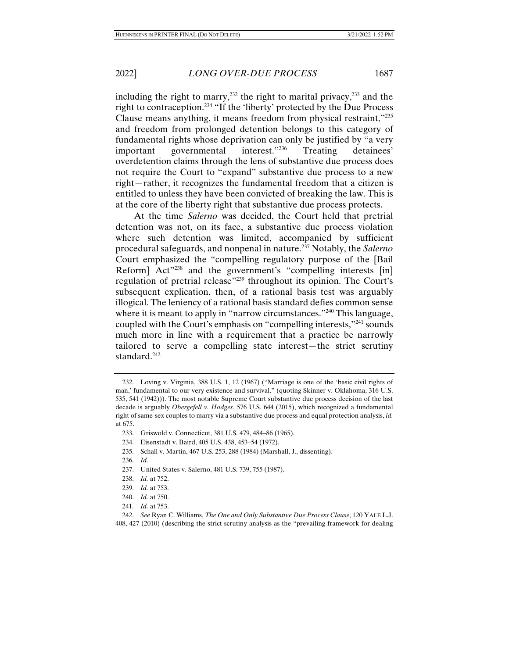including the right to marry,<sup>232</sup> the right to marital privacy,<sup>233</sup> and the right to contraception.234 "If the 'liberty' protected by the Due Process Clause means anything, it means freedom from physical restraint,"235 and freedom from prolonged detention belongs to this category of fundamental rights whose deprivation can only be justified by "a very important governmental interest."236 Treating detainees' overdetention claims through the lens of substantive due process does not require the Court to "expand" substantive due process to a new right—rather, it recognizes the fundamental freedom that a citizen is entitled to unless they have been convicted of breaking the law. This is at the core of the liberty right that substantive due process protects.

At the time *Salerno* was decided, the Court held that pretrial detention was not, on its face, a substantive due process violation where such detention was limited, accompanied by sufficient procedural safeguards, and nonpenal in nature.237 Notably, the *Salerno*  Court emphasized the "compelling regulatory purpose of the [Bail Reform] Act"<sup>238</sup> and the government's "compelling interests [in] regulation of pretrial release"<sup>239</sup> throughout its opinion. The Court's subsequent explication, then, of a rational basis test was arguably illogical. The leniency of a rational basis standard defies common sense where it is meant to apply in "narrow circumstances."<sup>240</sup> This language, coupled with the Court's emphasis on "compelling interests,"241 sounds much more in line with a requirement that a practice be narrowly tailored to serve a compelling state interest—the strict scrutiny standard.<sup>242</sup>

- 234. Eisenstadt v. Baird, 405 U.S. 438, 453–54 (1972).
- 235. Schall v. Martin, 467 U.S. 253, 288 (1984) (Marshall, J., dissenting).
- 236. *Id.*
- 237. United States v. Salerno, 481 U.S. 739, 755 (1987).
- 238. *Id.* at 752.
- 239. *Id.* at 753.
- 240. *Id.* at 750.
- 241. *Id.* at 753.

 <sup>232.</sup> Loving v. Virginia, 388 U.S. 1, 12 (1967) ("Marriage is one of the 'basic civil rights of man,' fundamental to our very existence and survival." (quoting Skinner v. Oklahoma, 316 U.S. 535, 541 (1942))). The most notable Supreme Court substantive due process decision of the last decade is arguably *Obergefell v. Hodges*, 576 U.S. 644 (2015), which recognized a fundamental right of same-sex couples to marry via a substantive due process and equal protection analysis, *id.* at 675.

 <sup>233.</sup> Griswold v. Connecticut, 381 U.S. 479, 484–86 (1965).

 <sup>242.</sup> *See* Ryan C. Williams, *The One and Only Substantive Due Process Clause*, 120 YALE L.J. 408, 427 (2010) (describing the strict scrutiny analysis as the "prevailing framework for dealing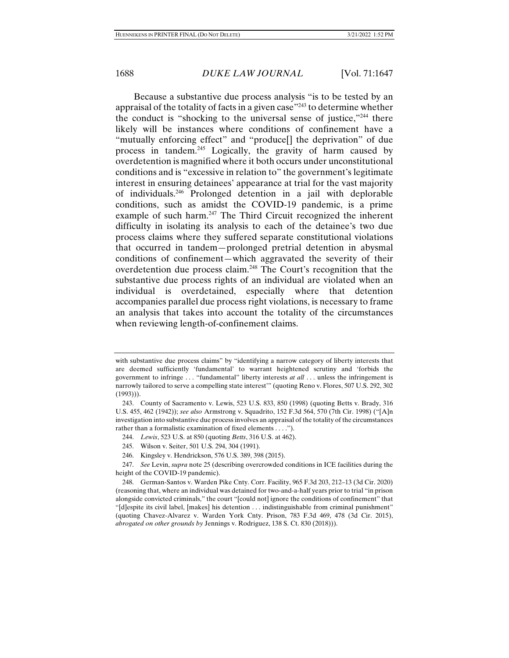Because a substantive due process analysis "is to be tested by an appraisal of the totality of facts in a given case  $^{243}$  to determine whether the conduct is "shocking to the universal sense of justice,"244 there likely will be instances where conditions of confinement have a "mutually enforcing effect" and "produce[] the deprivation" of due process in tandem.<sup>245</sup> Logically, the gravity of harm caused by overdetention is magnified where it both occurs under unconstitutional conditions and is "excessive in relation to" the government's legitimate interest in ensuring detainees' appearance at trial for the vast majority of individuals.246 Prolonged detention in a jail with deplorable conditions, such as amidst the COVID-19 pandemic, is a prime example of such harm.247 The Third Circuit recognized the inherent difficulty in isolating its analysis to each of the detainee's two due process claims where they suffered separate constitutional violations that occurred in tandem—prolonged pretrial detention in abysmal conditions of confinement—which aggravated the severity of their overdetention due process claim.248 The Court's recognition that the substantive due process rights of an individual are violated when an individual is overdetained, especially where that detention accompanies parallel due process right violations, is necessary to frame an analysis that takes into account the totality of the circumstances when reviewing length-of-confinement claims.

with substantive due process claims" by "identifying a narrow category of liberty interests that are deemed sufficiently 'fundamental' to warrant heightened scrutiny and 'forbids the government to infringe . . . "fundamental" liberty interests *at all* . . . unless the infringement is narrowly tailored to serve a compelling state interest'" (quoting Reno v. Flores, 507 U.S. 292, 302  $(1993))$ .

 <sup>243.</sup> County of Sacramento v. Lewis, 523 U.S. 833, 850 (1998) (quoting Betts v. Brady, 316 U.S. 455, 462 (1942)); *see also* Armstrong v. Squadrito, 152 F.3d 564, 570 (7th Cir. 1998) ("[A]n investigation into substantive due process involves an appraisal of the totality of the circumstances rather than a formalistic examination of fixed elements . . . .").

 <sup>244.</sup> *Lewis*, 523 U.S. at 850 (quoting *Betts*, 316 U.S. at 462).

 <sup>245.</sup> Wilson v. Seiter, 501 U.S. 294, 304 (1991).

 <sup>246.</sup> Kingsley v. Hendrickson, 576 U.S. 389, 398 (2015).

 <sup>247.</sup> *See* Levin, *supra* note 25 (describing overcrowded conditions in ICE facilities during the height of the COVID-19 pandemic).

 <sup>248.</sup> German-Santos v. Warden Pike Cnty. Corr. Facility, 965 F.3d 203, 212–13 (3d Cir. 2020) (reasoning that, where an individual was detained for two-and-a-half years prior to trial "in prison alongside convicted criminals," the court "[could not] ignore the conditions of confinement" that "[d]espite its civil label, [makes] his detention . . . indistinguishable from criminal punishment" (quoting Chavez-Alvarez v. Warden York Cnty. Prison, 783 F.3d 469, 478 (3d Cir. 2015), *abrogated on other grounds by* Jennings v. Rodriguez, 138 S. Ct. 830 (2018))).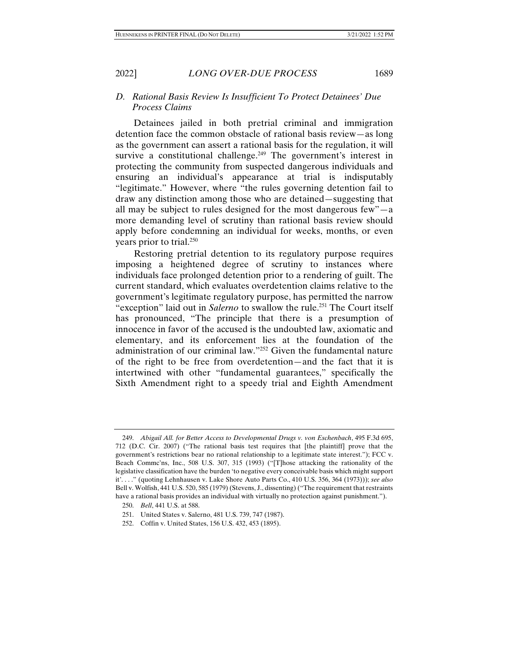2022] *LONG OVER-DUE PROCESS* 1689

## *D. Rational Basis Review Is Insufficient To Protect Detainees' Due Process Claims*

Detainees jailed in both pretrial criminal and immigration detention face the common obstacle of rational basis review—as long as the government can assert a rational basis for the regulation, it will survive a constitutional challenge.<sup>249</sup> The government's interest in protecting the community from suspected dangerous individuals and ensuring an individual's appearance at trial is indisputably "legitimate." However, where "the rules governing detention fail to draw any distinction among those who are detained—suggesting that all may be subject to rules designed for the most dangerous few"—a more demanding level of scrutiny than rational basis review should apply before condemning an individual for weeks, months, or even years prior to trial.<sup>250</sup>

Restoring pretrial detention to its regulatory purpose requires imposing a heightened degree of scrutiny to instances where individuals face prolonged detention prior to a rendering of guilt. The current standard, which evaluates overdetention claims relative to the government's legitimate regulatory purpose, has permitted the narrow "exception" laid out in *Salerno* to swallow the rule.<sup>251</sup> The Court itself has pronounced, "The principle that there is a presumption of innocence in favor of the accused is the undoubted law, axiomatic and elementary, and its enforcement lies at the foundation of the administration of our criminal law."252 Given the fundamental nature of the right to be free from overdetention—and the fact that it is intertwined with other "fundamental guarantees," specifically the Sixth Amendment right to a speedy trial and Eighth Amendment

 <sup>249.</sup> *Abigail All. for Better Access to Developmental Drugs v. von Eschenbach*, 495 F.3d 695, 712 (D.C. Cir. 2007) ("The rational basis test requires that [the plaintiff] prove that the government's restrictions bear no rational relationship to a legitimate state interest."); FCC v. Beach Commc'ns, Inc., 508 U.S. 307, 315 (1993) ("[T]hose attacking the rationality of the legislative classification have the burden 'to negative every conceivable basis which might support it'. . . ." (quoting Lehnhausen v. Lake Shore Auto Parts Co., 410 U.S. 356, 364 (1973))); *see also*  Bell v. Wolfish, 441 U.S. 520, 585 (1979) (Stevens, J., dissenting) ("The requirement that restraints have a rational basis provides an individual with virtually no protection against punishment.").

 <sup>250.</sup> *Bell*, 441 U.S. at 588.

 <sup>251.</sup> United States v. Salerno, 481 U.S. 739, 747 (1987).

 <sup>252.</sup> Coffin v. United States, 156 U.S. 432, 453 (1895).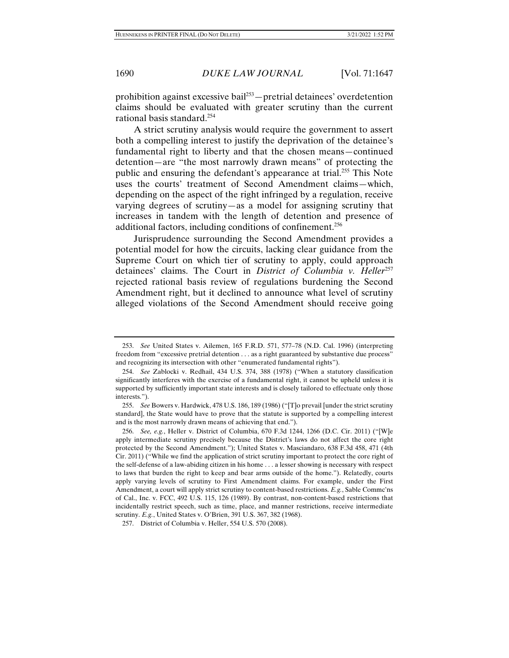prohibition against excessive bail<sup>253</sup> — pretrial detainees' overdetention claims should be evaluated with greater scrutiny than the current rational basis standard.254

A strict scrutiny analysis would require the government to assert both a compelling interest to justify the deprivation of the detainee's fundamental right to liberty and that the chosen means—continued detention—are "the most narrowly drawn means" of protecting the public and ensuring the defendant's appearance at trial.255 This Note uses the courts' treatment of Second Amendment claims—which, depending on the aspect of the right infringed by a regulation, receive varying degrees of scrutiny—as a model for assigning scrutiny that increases in tandem with the length of detention and presence of additional factors, including conditions of confinement.<sup>256</sup>

Jurisprudence surrounding the Second Amendment provides a potential model for how the circuits, lacking clear guidance from the Supreme Court on which tier of scrutiny to apply, could approach detainees' claims. The Court in *District of Columbia v. Heller*<sup>257</sup> rejected rational basis review of regulations burdening the Second Amendment right, but it declined to announce what level of scrutiny alleged violations of the Second Amendment should receive going

 <sup>253.</sup> *See* United States v. Ailemen, 165 F.R.D. 571, 577–78 (N.D. Cal. 1996) (interpreting freedom from "excessive pretrial detention . . . as a right guaranteed by substantive due process" and recognizing its intersection with other "enumerated fundamental rights").

 <sup>254.</sup> *See* Zablocki v. Redhail, 434 U.S. 374, 388 (1978) ("When a statutory classification significantly interferes with the exercise of a fundamental right, it cannot be upheld unless it is supported by sufficiently important state interests and is closely tailored to effectuate only those interests.").

 <sup>255.</sup> *See* Bowers v. Hardwick, 478 U.S. 186, 189 (1986) ("[T]o prevail [under the strict scrutiny standard], the State would have to prove that the statute is supported by a compelling interest and is the most narrowly drawn means of achieving that end.").

 <sup>256.</sup> *See, e.g.*, Heller v. District of Columbia, 670 F.3d 1244, 1266 (D.C. Cir. 2011) ("[W]e apply intermediate scrutiny precisely because the District's laws do not affect the core right protected by the Second Amendment."); United States v. Masciandaro, 638 F.3d 458, 471 (4th Cir. 2011) ("While we find the application of strict scrutiny important to protect the core right of the self-defense of a law-abiding citizen in his home . . . a lesser showing is necessary with respect to laws that burden the right to keep and bear arms outside of the home."). Relatedly, courts apply varying levels of scrutiny to First Amendment claims. For example, under the First Amendment, a court will apply strict scrutiny to content-based restrictions. *E.g.*, Sable Commc'ns of Cal., Inc. v. FCC, 492 U.S. 115, 126 (1989). By contrast, non-content-based restrictions that incidentally restrict speech, such as time, place, and manner restrictions, receive intermediate scrutiny. *E.g.*, United States v. O'Brien, 391 U.S. 367, 382 (1968).

 <sup>257.</sup> District of Columbia v. Heller, 554 U.S. 570 (2008).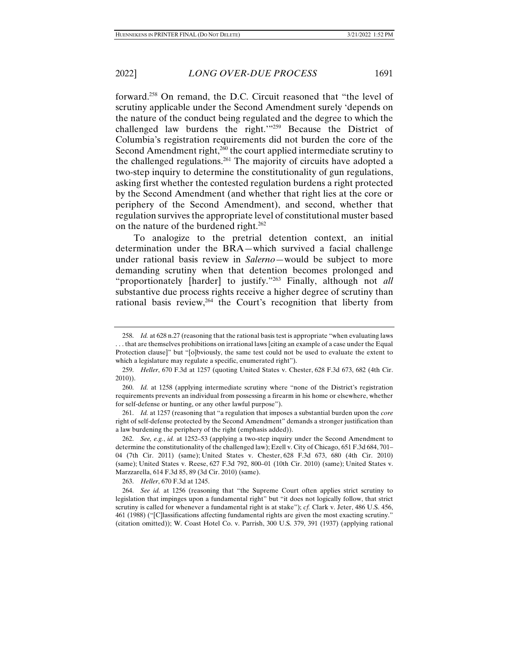forward.258 On remand, the D.C. Circuit reasoned that "the level of scrutiny applicable under the Second Amendment surely 'depends on the nature of the conduct being regulated and the degree to which the challenged law burdens the right.'"259 Because the District of Columbia's registration requirements did not burden the core of the Second Amendment right, $2\bar{60}$  the court applied intermediate scrutiny to the challenged regulations.<sup>261</sup> The majority of circuits have adopted a two-step inquiry to determine the constitutionality of gun regulations, asking first whether the contested regulation burdens a right protected by the Second Amendment (and whether that right lies at the core or periphery of the Second Amendment), and second, whether that regulation survives the appropriate level of constitutional muster based on the nature of the burdened right.<sup>262</sup>

To analogize to the pretrial detention context, an initial determination under the BRA—which survived a facial challenge under rational basis review in *Salerno*—would be subject to more demanding scrutiny when that detention becomes prolonged and "proportionately [harder] to justify."263 Finally, although not *all*  substantive due process rights receive a higher degree of scrutiny than rational basis review,<sup>264</sup> the Court's recognition that liberty from

263. *Heller*, 670 F.3d at 1245.

 <sup>258.</sup> *Id.* at 628 n.27 (reasoning that the rational basis test is appropriate "when evaluating laws . . . that are themselves prohibitions on irrational laws [citing an example of a case under the Equal Protection clause]" but "[o]bviously, the same test could not be used to evaluate the extent to which a legislature may regulate a specific, enumerated right").

 <sup>259.</sup> *Heller*, 670 F.3d at 1257 (quoting United States v. Chester, 628 F.3d 673, 682 (4th Cir. 2010)).

 <sup>260.</sup> *Id.* at 1258 (applying intermediate scrutiny where "none of the District's registration requirements prevents an individual from possessing a firearm in his home or elsewhere, whether for self-defense or hunting, or any other lawful purpose").

 <sup>261.</sup> *Id.* at 1257 (reasoning that "a regulation that imposes a substantial burden upon the *core*  right of self-defense protected by the Second Amendment" demands a stronger justification than a law burdening the periphery of the right (emphasis added)).

 <sup>262.</sup> *See, e.g.*, *id.* at 1252–53 (applying a two-step inquiry under the Second Amendment to determine the constitutionality of the challenged law); Ezell v. City of Chicago, 651 F.3d 684, 701– 04 (7th Cir. 2011) (same); United States v. Chester, 628 F.3d 673, 680 (4th Cir. 2010) (same); United States v. Reese, 627 F.3d 792, 800–01 (10th Cir. 2010) (same); United States v. Marzzarella, 614 F.3d 85, 89 (3d Cir. 2010) (same).

 <sup>264.</sup> *See id.* at 1256 (reasoning that "the Supreme Court often applies strict scrutiny to legislation that impinges upon a fundamental right" but "it does not logically follow, that strict scrutiny is called for whenever a fundamental right is at stake"); *cf.* Clark v. Jeter, 486 U.S. 456, 461 (1988) ("[C]lassifications affecting fundamental rights are given the most exacting scrutiny." (citation omitted)); W. Coast Hotel Co. v. Parrish, 300 U.S. 379, 391 (1937) (applying rational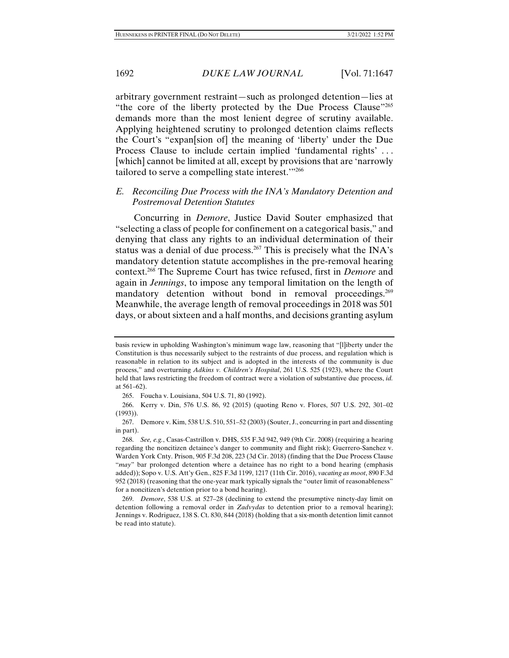arbitrary government restraint—such as prolonged detention—lies at "the core of the liberty protected by the Due Process Clause"<sup>265</sup> demands more than the most lenient degree of scrutiny available. Applying heightened scrutiny to prolonged detention claims reflects the Court's "expan[sion of] the meaning of 'liberty' under the Due Process Clause to include certain implied 'fundamental rights' . . . [which] cannot be limited at all, except by provisions that are 'narrowly tailored to serve a compelling state interest.'"266

# *E. Reconciling Due Process with the INA's Mandatory Detention and Postremoval Detention Statutes*

Concurring in *Demore*, Justice David Souter emphasized that "selecting a class of people for confinement on a categorical basis," and denying that class any rights to an individual determination of their status was a denial of due process.<sup>267</sup> This is precisely what the INA's mandatory detention statute accomplishes in the pre-removal hearing context.268 The Supreme Court has twice refused, first in *Demore* and again in *Jennings*, to impose any temporal limitation on the length of mandatory detention without bond in removal proceedings.<sup>269</sup> Meanwhile, the average length of removal proceedings in 2018 was 501 days, or about sixteen and a half months, and decisions granting asylum

basis review in upholding Washington's minimum wage law, reasoning that "[l]iberty under the Constitution is thus necessarily subject to the restraints of due process, and regulation which is reasonable in relation to its subject and is adopted in the interests of the community is due process," and overturning *Adkins v. Children's Hospital*, 261 U.S. 525 (1923), where the Court held that laws restricting the freedom of contract were a violation of substantive due process, *id.* at 561–62).

 <sup>265.</sup> Foucha v. Louisiana, 504 U.S. 71, 80 (1992).

 <sup>266.</sup> Kerry v. Din, 576 U.S. 86, 92 (2015) (quoting Reno v. Flores, 507 U.S. 292, 301–02 (1993)).

 <sup>267.</sup> Demore v. Kim, 538 U.S. 510, 551–52 (2003) (Souter, J., concurring in part and dissenting in part).

 <sup>268.</sup> *See, e.g.*, Casas-Castrillon v. DHS, 535 F.3d 942, 949 (9th Cir. 2008) (requiring a hearing regarding the noncitizen detainee's danger to community and flight risk); Guerrero-Sanchez v. Warden York Cnty. Prison, 905 F.3d 208, 223 (3d Cir. 2018) (finding that the Due Process Clause "*may*" bar prolonged detention where a detainee has no right to a bond hearing (emphasis added)); Sopo v. U.S. Att'y Gen., 825 F.3d 1199, 1217 (11th Cir. 2016), *vacating as moot*, 890 F.3d 952 (2018) (reasoning that the one-year mark typically signals the "outer limit of reasonableness" for a noncitizen's detention prior to a bond hearing).

 <sup>269.</sup> *Demore*, 538 U.S. at 527–28 (declining to extend the presumptive ninety-day limit on detention following a removal order in *Zadvydas* to detention prior to a removal hearing); Jennings v. Rodriguez, 138 S. Ct. 830, 844 (2018) (holding that a six-month detention limit cannot be read into statute).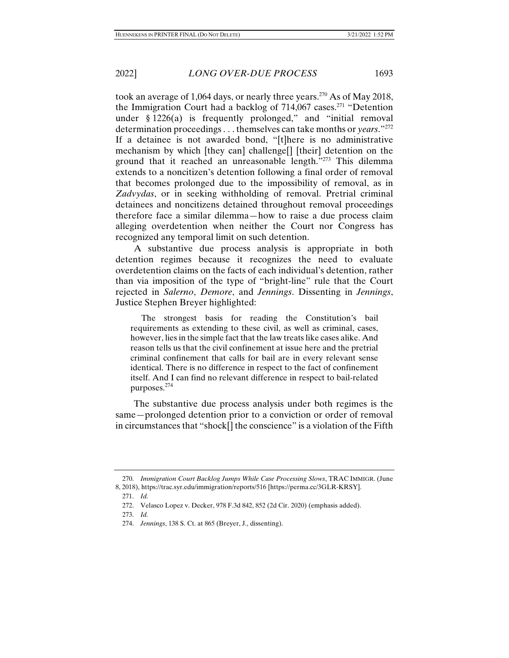took an average of 1,064 days, or nearly three years.270 As of May 2018, the Immigration Court had a backlog of  $714,067$  cases.<sup>271</sup> "Detention under  $§ 1226(a)$  is frequently prolonged," and "initial removal determination proceedings . . . themselves can take months or *years*."272 If a detainee is not awarded bond, "[t]here is no administrative mechanism by which [they can] challenge[] [their] detention on the ground that it reached an unreasonable length."273 This dilemma extends to a noncitizen's detention following a final order of removal that becomes prolonged due to the impossibility of removal, as in *Zadvydas*, or in seeking withholding of removal. Pretrial criminal detainees and noncitizens detained throughout removal proceedings therefore face a similar dilemma—how to raise a due process claim alleging overdetention when neither the Court nor Congress has recognized any temporal limit on such detention.

A substantive due process analysis is appropriate in both detention regimes because it recognizes the need to evaluate overdetention claims on the facts of each individual's detention, rather than via imposition of the type of "bright-line" rule that the Court rejected in *Salerno*, *Demore*, and *Jennings*. Dissenting in *Jennings*, Justice Stephen Breyer highlighted:

 The strongest basis for reading the Constitution's bail requirements as extending to these civil, as well as criminal, cases, however, lies in the simple fact that the law treats like cases alike. And reason tells us that the civil confinement at issue here and the pretrial criminal confinement that calls for bail are in every relevant sense identical. There is no difference in respect to the fact of confinement itself. And I can find no relevant difference in respect to bail-related purposes.274

The substantive due process analysis under both regimes is the same—prolonged detention prior to a conviction or order of removal in circumstances that "shock[] the conscience" is a violation of the Fifth

 <sup>270.</sup> *Immigration Court Backlog Jumps While Case Processing Slows*, TRAC IMMIGR. (June 8, 2018), https://trac.syr.edu/immigration/reports/516 [https://perma.cc/3GLR-KRSY].

 <sup>271.</sup> *Id.*

 <sup>272.</sup> Velasco Lopez v. Decker, 978 F.3d 842, 852 (2d Cir. 2020) (emphasis added).

 <sup>273.</sup> *Id.* 

 <sup>274.</sup> *Jennings*, 138 S. Ct. at 865 (Breyer, J., dissenting).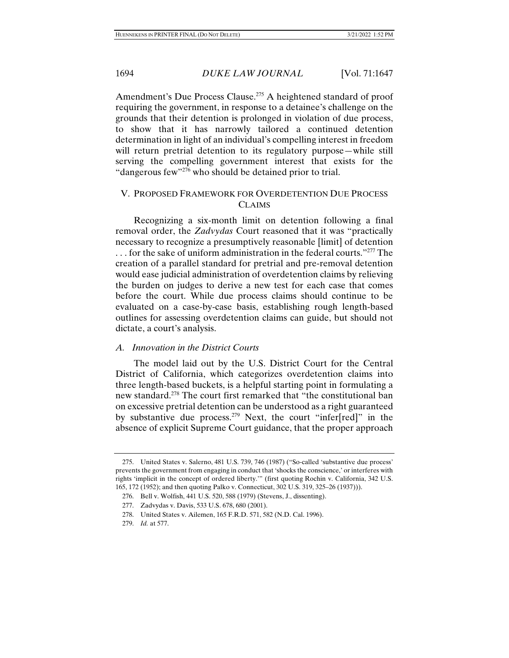Amendment's Due Process Clause.<sup>275</sup> A heightened standard of proof requiring the government, in response to a detainee's challenge on the grounds that their detention is prolonged in violation of due process, to show that it has narrowly tailored a continued detention determination in light of an individual's compelling interest in freedom will return pretrial detention to its regulatory purpose—while still serving the compelling government interest that exists for the "dangerous few"<sup>276</sup> who should be detained prior to trial.

# V. PROPOSED FRAMEWORK FOR OVERDETENTION DUE PROCESS **CLAIMS**

Recognizing a six-month limit on detention following a final removal order, the *Zadvydas* Court reasoned that it was "practically necessary to recognize a presumptively reasonable [limit] of detention . . . for the sake of uniform administration in the federal courts."277 The creation of a parallel standard for pretrial and pre-removal detention would ease judicial administration of overdetention claims by relieving the burden on judges to derive a new test for each case that comes before the court. While due process claims should continue to be evaluated on a case-by-case basis, establishing rough length-based outlines for assessing overdetention claims can guide, but should not dictate, a court's analysis.

#### *A. Innovation in the District Courts*

The model laid out by the U.S. District Court for the Central District of California, which categorizes overdetention claims into three length-based buckets, is a helpful starting point in formulating a new standard.278 The court first remarked that "the constitutional ban on excessive pretrial detention can be understood as a right guaranteed by substantive due process.279 Next, the court "infer[red]" in the absence of explicit Supreme Court guidance, that the proper approach

 <sup>275.</sup> United States v. Salerno, 481 U.S. 739, 746 (1987) ("So-called 'substantive due process' prevents the government from engaging in conduct that 'shocks the conscience,' or interferes with rights 'implicit in the concept of ordered liberty.'" (first quoting Rochin v. California, 342 U.S. 165, 172 (1952); and then quoting Palko v. Connecticut, 302 U.S. 319, 325–26 (1937))).

 <sup>276.</sup> Bell v. Wolfish, 441 U.S. 520, 588 (1979) (Stevens, J., dissenting).

 <sup>277.</sup> Zadvydas v. Davis, 533 U.S. 678, 680 (2001).

 <sup>278.</sup> United States v. Ailemen, 165 F.R.D. 571, 582 (N.D. Cal. 1996).

 <sup>279.</sup> *Id.* at 577.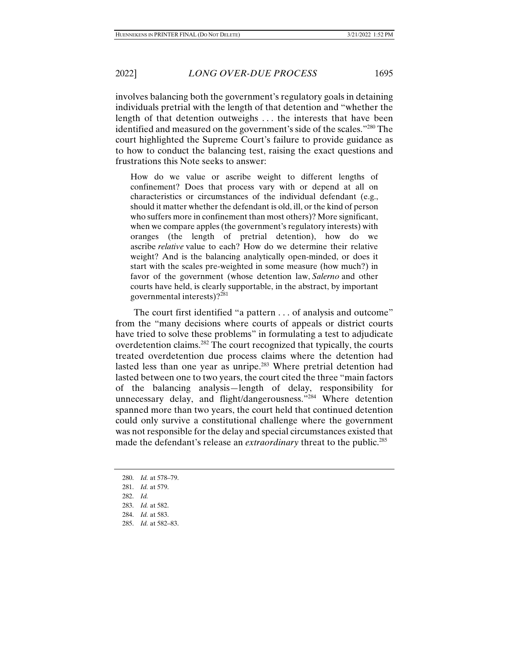involves balancing both the government's regulatory goals in detaining individuals pretrial with the length of that detention and "whether the length of that detention outweighs . . . the interests that have been identified and measured on the government's side of the scales."280 The court highlighted the Supreme Court's failure to provide guidance as to how to conduct the balancing test, raising the exact questions and frustrations this Note seeks to answer:

How do we value or ascribe weight to different lengths of confinement? Does that process vary with or depend at all on characteristics or circumstances of the individual defendant (e.g., should it matter whether the defendant is old, ill, or the kind of person who suffers more in confinement than most others)? More significant, when we compare apples (the government's regulatory interests) with oranges (the length of pretrial detention), how do we ascribe *relative* value to each? How do we determine their relative weight? And is the balancing analytically open-minded, or does it start with the scales pre-weighted in some measure (how much?) in favor of the government (whose detention law, *Salerno* and other courts have held, is clearly supportable, in the abstract, by important governmental interests)?281

The court first identified "a pattern . . . of analysis and outcome" from the "many decisions where courts of appeals or district courts have tried to solve these problems" in formulating a test to adjudicate overdetention claims.282 The court recognized that typically, the courts treated overdetention due process claims where the detention had lasted less than one year as unripe.<sup>283</sup> Where pretrial detention had lasted between one to two years, the court cited the three "main factors of the balancing analysis—length of delay, responsibility for unnecessary delay, and flight/dangerousness."<sup>284</sup> Where detention spanned more than two years, the court held that continued detention could only survive a constitutional challenge where the government was not responsible for the delay and special circumstances existed that made the defendant's release an *extraordinary* threat to the public.<sup>285</sup>

- 282. *Id.*
- 283. *Id.* at 582.
- 284. *Id.* at 583.
- 285. *Id.* at 582–83.

 <sup>280.</sup> *Id.* at 578–79.

 <sup>281.</sup> *Id.* at 579.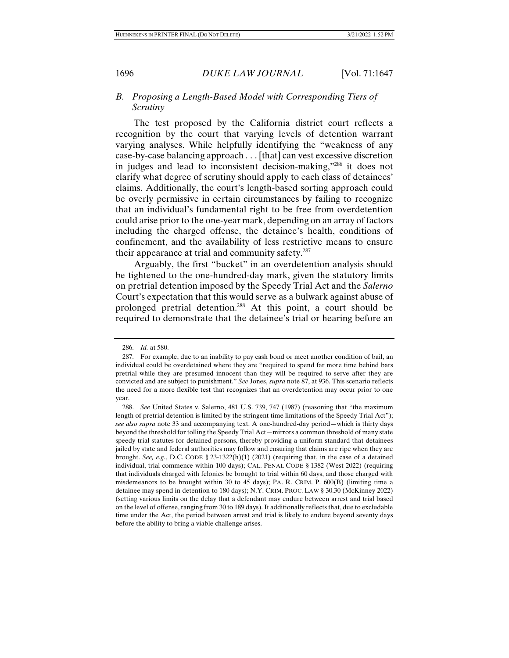# *B. Proposing a Length-Based Model with Corresponding Tiers of Scrutiny*

The test proposed by the California district court reflects a recognition by the court that varying levels of detention warrant varying analyses. While helpfully identifying the "weakness of any case-by-case balancing approach . . . [that] can vest excessive discretion in judges and lead to inconsistent decision-making,"286 it does not clarify what degree of scrutiny should apply to each class of detainees' claims. Additionally, the court's length-based sorting approach could be overly permissive in certain circumstances by failing to recognize that an individual's fundamental right to be free from overdetention could arise prior to the one-year mark, depending on an array of factors including the charged offense, the detainee's health, conditions of confinement, and the availability of less restrictive means to ensure their appearance at trial and community safety.287

Arguably, the first "bucket" in an overdetention analysis should be tightened to the one-hundred-day mark, given the statutory limits on pretrial detention imposed by the Speedy Trial Act and the *Salerno*  Court's expectation that this would serve as a bulwark against abuse of prolonged pretrial detention.288 At this point, a court should be required to demonstrate that the detainee's trial or hearing before an

 <sup>286.</sup> *Id.* at 580.

 <sup>287.</sup> For example, due to an inability to pay cash bond or meet another condition of bail, an individual could be overdetained where they are "required to spend far more time behind bars pretrial while they are presumed innocent than they will be required to serve after they are convicted and are subject to punishment." *See* Jones, *supra* note 87, at 936. This scenario reflects the need for a more flexible test that recognizes that an overdetention may occur prior to one year.

 <sup>288.</sup> *See* United States v. Salerno, 481 U.S. 739, 747 (1987) (reasoning that "the maximum length of pretrial detention is limited by the stringent time limitations of the Speedy Trial Act"); *see also supra* note 33 and accompanying text. A one-hundred-day period—which is thirty days beyond the threshold for tolling the Speedy Trial Act—mirrors a common threshold of many state speedy trial statutes for detained persons, thereby providing a uniform standard that detainees jailed by state and federal authorities may follow and ensuring that claims are ripe when they are brought. *See, e.g.*, D.C. CODE § 23-1322(h)(1) (2021) (requiring that, in the case of a detained individual, trial commence within 100 days); CAL. PENAL CODE § 1382 (West 2022) (requiring that individuals charged with felonies be brought to trial within 60 days, and those charged with misdemeanors to be brought within 30 to 45 days); PA. R. CRIM. P.  $600(B)$  (limiting time a detainee may spend in detention to 180 days); N.Y. CRIM. PROC. LAW § 30.30 (McKinney 2022) (setting various limits on the delay that a defendant may endure between arrest and trial based on the level of offense, ranging from 30 to 189 days). It additionally reflects that, due to excludable time under the Act, the period between arrest and trial is likely to endure beyond seventy days before the ability to bring a viable challenge arises.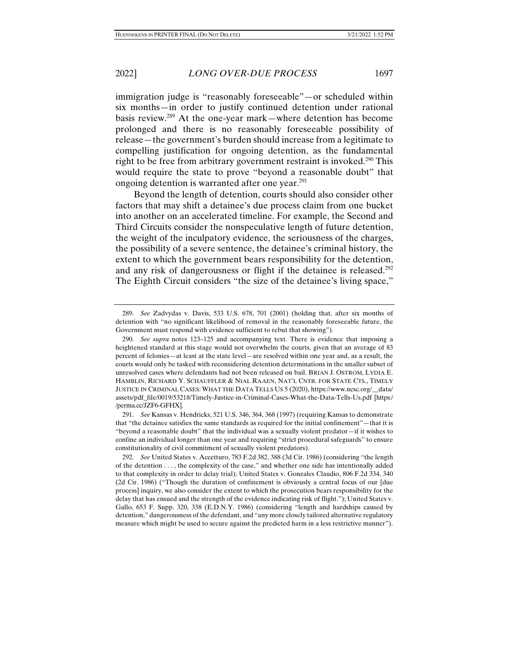immigration judge is "reasonably foreseeable"—or scheduled within six months—in order to justify continued detention under rational basis review.289 At the one-year mark—where detention has become prolonged and there is no reasonably foreseeable possibility of release—the government's burden should increase from a legitimate to compelling justification for ongoing detention, as the fundamental right to be free from arbitrary government restraint is invoked.<sup>290</sup> This would require the state to prove "beyond a reasonable doubt" that ongoing detention is warranted after one year.<sup>291</sup>

Beyond the length of detention, courts should also consider other factors that may shift a detainee's due process claim from one bucket into another on an accelerated timeline. For example, the Second and Third Circuits consider the nonspeculative length of future detention, the weight of the inculpatory evidence, the seriousness of the charges, the possibility of a severe sentence, the detainee's criminal history, the extent to which the government bears responsibility for the detention, and any risk of dangerousness or flight if the detainee is released.<sup>292</sup> The Eighth Circuit considers "the size of the detainee's living space,"

 <sup>289.</sup> *See* Zadvydas v. Davis, 533 U.S. 678, 701 (2001) (holding that, after six months of detention with "no significant likelihood of removal in the reasonably foreseeable future, the Government must respond with evidence sufficient to rebut that showing").

 <sup>290.</sup> *See supra* notes 123–125 and accompanying text. There is evidence that imposing a heightened standard at this stage would not overwhelm the courts, given that an average of 83 percent of felonies—at least at the state level—are resolved within one year and, as a result, the courts would only be tasked with reconsidering detention determinations in the smaller subset of unresolved cases where defendants had not been released on bail. BRIAN J. OSTROM, LYDIA E. HAMBLIN, RICHARD Y. SCHAUFFLER & NIAL RAAEN, NAT'L CNTR. FOR STATE CTS., TIMELY JUSTICE IN CRIMINAL CASES: WHAT THE DATA TELLS US 5 (2020), https://www.ncsc.org/\_\_data/ assets/pdf\_file/0019/53218/Timely-Justice-in-Criminal-Cases-What-the-Data-Tells-Us.pdf [https:/ /perma.cc/JZF6-GFHX].

 <sup>291.</sup> *See* Kansas v. Hendricks, 521 U.S. 346, 364, 368 (1997) (requiring Kansas to demonstrate that "the detainee satisfies the same standards as required for the initial confinement"—that it is "beyond a reasonable doubt" that the individual was a sexually violent predator—if it wishes to confine an individual longer than one year and requiring "strict procedural safeguards" to ensure constitutionality of civil commitment of sexually violent predators).

 <sup>292.</sup> *See* United States v. Accetturo, 783 F.2d 382, 388 (3d Cir. 1986) (considering "the length of the detention . . . , the complexity of the case," and whether one side has intentionally added to that complexity in order to delay trial); United States v. Gonzales Claudio, 806 F.2d 334, 340 (2d Cir. 1986) ("Though the duration of confinement is obviously a central focus of our [due process] inquiry, we also consider the extent to which the prosecution bears responsibility for the delay that has ensued and the strength of the evidence indicating risk of flight."); United States v. Gallo, 653 F. Supp. 320, 338 (E.D.N.Y. 1986) (considering "length and hardships caused by detention," dangerousness of the defendant, and "any more closely tailored alternative regulatory measure which might be used to secure against the predicted harm in a less restrictive manner").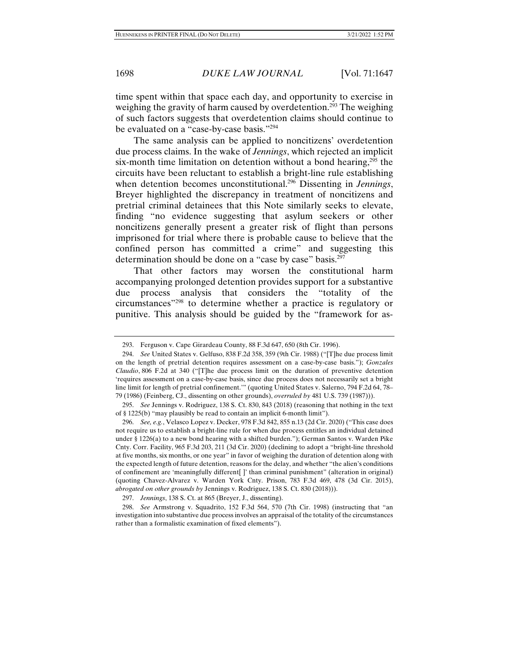time spent within that space each day, and opportunity to exercise in weighing the gravity of harm caused by overdetention.<sup>293</sup> The weighing of such factors suggests that overdetention claims should continue to be evaluated on a "case-by-case basis."294

The same analysis can be applied to noncitizens' overdetention due process claims. In the wake of *Jennings*, which rejected an implicit six-month time limitation on detention without a bond hearing, $295$  the circuits have been reluctant to establish a bright-line rule establishing when detention becomes unconstitutional.296 Dissenting in *Jennings*, Breyer highlighted the discrepancy in treatment of noncitizens and pretrial criminal detainees that this Note similarly seeks to elevate, finding "no evidence suggesting that asylum seekers or other noncitizens generally present a greater risk of flight than persons imprisoned for trial where there is probable cause to believe that the confined person has committed a crime" and suggesting this determination should be done on a "case by case" basis.<sup>297</sup>

That other factors may worsen the constitutional harm accompanying prolonged detention provides support for a substantive due process analysis that considers the "totality of the circumstances"298 to determine whether a practice is regulatory or punitive. This analysis should be guided by the "framework for as-

 <sup>293.</sup> Ferguson v. Cape Girardeau County, 88 F.3d 647, 650 (8th Cir. 1996).

 <sup>294.</sup> *See* United States v. Gelfuso, 838 F.2d 358, 359 (9th Cir. 1988) ("[T]he due process limit on the length of pretrial detention requires assessment on a case-by-case basis."); *Gonzales Claudio*, 806 F.2d at 340 ("[T]he due process limit on the duration of preventive detention 'requires assessment on a case-by-case basis, since due process does not necessarily set a bright line limit for length of pretrial confinement.'" (quoting United States v. Salerno, 794 F.2d 64, 78– 79 (1986) (Feinberg, CJ., dissenting on other grounds), *overruled by* 481 U.S. 739 (1987))).

 <sup>295.</sup> *See* Jennings v. Rodriguez, 138 S. Ct. 830, 843 (2018) (reasoning that nothing in the text of § 1225(b) "may plausibly be read to contain an implicit 6-month limit").

 <sup>296.</sup> *See, e.g.*, Velasco Lopez v. Decker, 978 F.3d 842, 855 n.13 (2d Cir. 2020) ("This case does not require us to establish a bright-line rule for when due process entitles an individual detained under § 1226(a) to a new bond hearing with a shifted burden."); German Santos v. Warden Pike Cnty. Corr. Facility, 965 F.3d 203, 211 (3d Cir. 2020) (declining to adopt a "bright-line threshold at five months, six months, or one year" in favor of weighing the duration of detention along with the expected length of future detention, reasons for the delay, and whether "the alien's conditions of confinement are 'meaningfully different[ ]' than criminal punishment" (alteration in original) (quoting Chavez-Alvarez v. Warden York Cnty. Prison, 783 F.3d 469, 478 (3d Cir. 2015), *abrogated on other grounds by* Jennings v. Rodriguez, 138 S. Ct. 830 (2018))).

 <sup>297.</sup> *Jennings*, 138 S. Ct. at 865 (Breyer, J., dissenting).

 <sup>298.</sup> *See* Armstrong v. Squadrito, 152 F.3d 564, 570 (7th Cir. 1998) (instructing that "an investigation into substantive due process involves an appraisal of the totality of the circumstances rather than a formalistic examination of fixed elements").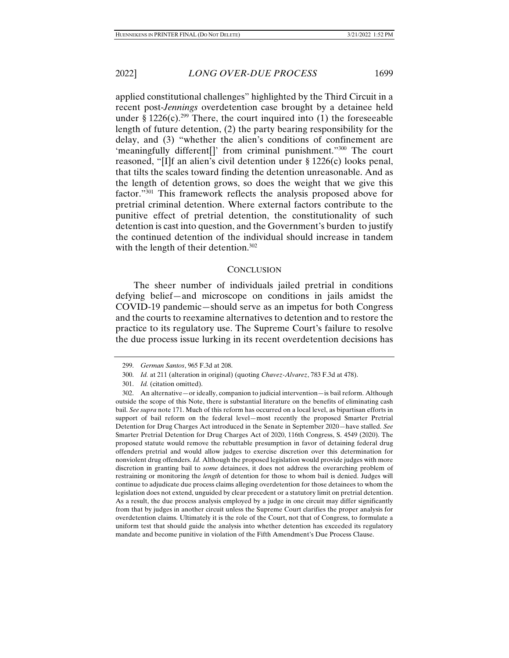applied constitutional challenges" highlighted by the Third Circuit in a recent post-*Jennings* overdetention case brought by a detainee held under § 1226(c).<sup>299</sup> There, the court inquired into (1) the foreseeable length of future detention, (2) the party bearing responsibility for the delay, and (3) "whether the alien's conditions of confinement are 'meaningfully different[]' from criminal punishment."<sup>300</sup> The court reasoned, "[I]f an alien's civil detention under § 1226(c) looks penal, that tilts the scales toward finding the detention unreasonable. And as the length of detention grows, so does the weight that we give this factor."301 This framework reflects the analysis proposed above for pretrial criminal detention. Where external factors contribute to the punitive effect of pretrial detention, the constitutionality of such detention is cast into question, and the Government's burden to justify the continued detention of the individual should increase in tandem with the length of their detention.<sup>302</sup>

### **CONCLUSION**

The sheer number of individuals jailed pretrial in conditions defying belief—and microscope on conditions in jails amidst the COVID-19 pandemic—should serve as an impetus for both Congress and the courts to reexamine alternatives to detention and to restore the practice to its regulatory use. The Supreme Court's failure to resolve the due process issue lurking in its recent overdetention decisions has

 <sup>299.</sup> *German Santos*, 965 F.3d at 208.

 <sup>300.</sup> *Id.* at 211 (alteration in original) (quoting *Chavez-Alvarez*, 783 F.3d at 478).

 <sup>301.</sup> *Id.* (citation omitted).

 <sup>302.</sup> An alternative—or ideally, companion to judicial intervention—is bail reform. Although outside the scope of this Note, there is substantial literature on the benefits of eliminating cash bail. *See supra* note 171. Much of this reform has occurred on a local level, as bipartisan efforts in support of bail reform on the federal level—most recently the proposed Smarter Pretrial Detention for Drug Charges Act introduced in the Senate in September 2020—have stalled. *See*  Smarter Pretrial Detention for Drug Charges Act of 2020, 116th Congress, S. 4549 (2020). The proposed statute would remove the rebuttable presumption in favor of detaining federal drug offenders pretrial and would allow judges to exercise discretion over this determination for nonviolent drug offenders. *Id.* Although the proposed legislation would provide judges with more discretion in granting bail to *some* detainees, it does not address the overarching problem of restraining or monitoring the *length* of detention for those to whom bail is denied. Judges will continue to adjudicate due process claims alleging overdetention for those detainees to whom the legislation does not extend, unguided by clear precedent or a statutory limit on pretrial detention. As a result, the due process analysis employed by a judge in one circuit may differ significantly from that by judges in another circuit unless the Supreme Court clarifies the proper analysis for overdetention claims. Ultimately it is the role of the Court, not that of Congress, to formulate a uniform test that should guide the analysis into whether detention has exceeded its regulatory mandate and become punitive in violation of the Fifth Amendment's Due Process Clause.